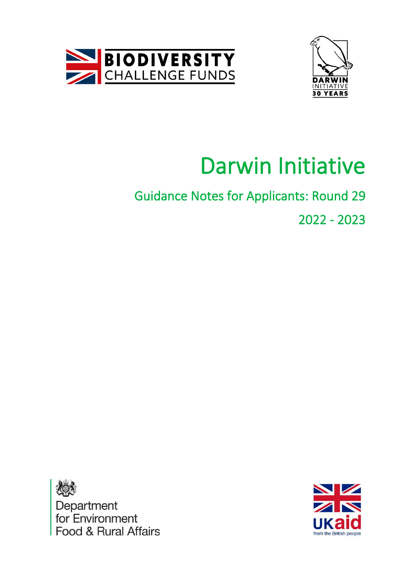



# Darwin Initiative

## Guidance Notes for Applicants: Round 29 2022 - 2023



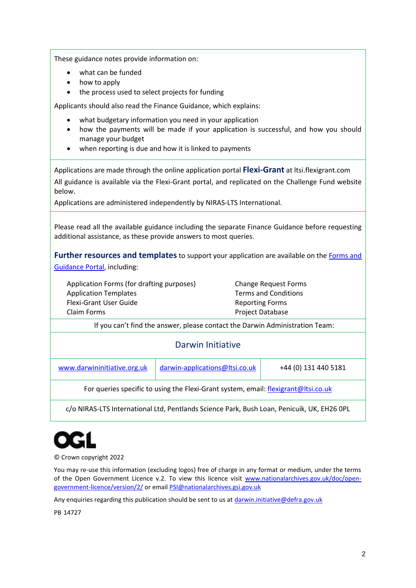These guidance notes provide information on:

- what can be funded
- how to apply
- the process used to select projects for funding

Applicants should also read the Finance Guidance, which explains:

- what budgetary information you need in your application
- how the payments will be made if your application is successful, and how you should manage your budget
- when reporting is due and how it is linked to payments

Applications are made through the online application portal **Flexi-Grant** at ltsi.flexigrant.com All guidance is available via the Flexi-Grant portal, and replicated on the Challenge Fund website below.

Applications are administered independently by NIRAS-LTS International.

Please read all the available guidance including the separate Finance Guidance before requesting additional assistance, as these provide answers to most queries.

**Further resources and templates** to support your application are available on th[e Forms and](http://www.darwininitiative.org.uk/)  [Guidance Portal,](http://www.darwininitiative.org.uk/) including:

Application Forms (for drafting purposes) Application Templates Flexi-Grant User Guide Claim Forms

Change Request Forms Terms and Conditions Reporting Forms Project Database

If you can't find the answer, please contact the Darwin Administration Team:

### Darwin Initiative

www.darwininitiative.org.uk  $d$ arwin-applications@ltsi.co.uk +44 (0) 131 440 5181

For queries specific to using the Flexi-Grant system, email: [flexigrant@ltsi.co.uk](mailto:flexigrant@ltsi.co.uk)

c/o NIRAS-LTS International Ltd, Pentlands Science Park, Bush Loan, Penicuik, UK, EH26 0PL



© Crown copyright 2022

You may re-use this information (excluding logos) free of charge in any format or medium, under the terms of the Open Government Licence v.2. To view this licence visit [www.nationalarchives.gov.uk/doc/open](http://www.nationalarchives.gov.uk/doc/open-government-licence/version/2/)[government-licence/version/2/](http://www.nationalarchives.gov.uk/doc/open-government-licence/version/2/) or emai[l PSI@nationalarchives.gsi.gov.uk](mailto:PSI@nationalarchives.gsi.gov.uk)

Any enquiries regarding this publication should be sent to us a[t darwin.initiative@defra.gov.uk](mailto:darwin.initiative@defra.gov.uk)

PB 14727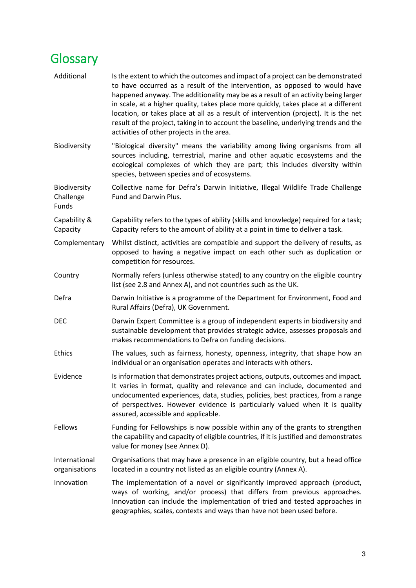## <span id="page-2-0"></span>**Glossary**

| Additional                         | Is the extent to which the outcomes and impact of a project can be demonstrated<br>to have occurred as a result of the intervention, as opposed to would have<br>happened anyway. The additionality may be as a result of an activity being larger<br>in scale, at a higher quality, takes place more quickly, takes place at a different<br>location, or takes place at all as a result of intervention (project). It is the net<br>result of the project, taking in to account the baseline, underlying trends and the<br>activities of other projects in the area. |  |  |
|------------------------------------|-----------------------------------------------------------------------------------------------------------------------------------------------------------------------------------------------------------------------------------------------------------------------------------------------------------------------------------------------------------------------------------------------------------------------------------------------------------------------------------------------------------------------------------------------------------------------|--|--|
| Biodiversity                       | "Biological diversity" means the variability among living organisms from all<br>sources including, terrestrial, marine and other aquatic ecosystems and the<br>ecological complexes of which they are part; this includes diversity within<br>species, between species and of ecosystems.                                                                                                                                                                                                                                                                             |  |  |
| Biodiversity<br>Challenge<br>Funds | Collective name for Defra's Darwin Initiative, Illegal Wildlife Trade Challenge<br>Fund and Darwin Plus.                                                                                                                                                                                                                                                                                                                                                                                                                                                              |  |  |
| Capability &<br>Capacity           | Capability refers to the types of ability (skills and knowledge) required for a task;<br>Capacity refers to the amount of ability at a point in time to deliver a task.                                                                                                                                                                                                                                                                                                                                                                                               |  |  |
| Complementary                      | Whilst distinct, activities are compatible and support the delivery of results, as<br>opposed to having a negative impact on each other such as duplication or<br>competition for resources.                                                                                                                                                                                                                                                                                                                                                                          |  |  |
| Country                            | Normally refers (unless otherwise stated) to any country on the eligible country<br>list (see 2.8 and Annex A), and not countries such as the UK.                                                                                                                                                                                                                                                                                                                                                                                                                     |  |  |
| Defra                              | Darwin Initiative is a programme of the Department for Environment, Food and<br>Rural Affairs (Defra), UK Government.                                                                                                                                                                                                                                                                                                                                                                                                                                                 |  |  |
| <b>DEC</b>                         | Darwin Expert Committee is a group of independent experts in biodiversity and<br>sustainable development that provides strategic advice, assesses proposals and<br>makes recommendations to Defra on funding decisions.                                                                                                                                                                                                                                                                                                                                               |  |  |
| Ethics                             | The values, such as fairness, honesty, openness, integrity, that shape how an<br>individual or an organisation operates and interacts with others.                                                                                                                                                                                                                                                                                                                                                                                                                    |  |  |
| Evidence                           | Is information that demonstrates project actions, outputs, outcomes and impact.<br>It varies in format, quality and relevance and can include, documented and<br>undocumented experiences, data, studies, policies, best practices, from a range<br>of perspectives. However evidence is particularly valued when it is quality<br>assured, accessible and applicable.                                                                                                                                                                                                |  |  |
| Fellows                            | Funding for Fellowships is now possible within any of the grants to strengthen<br>the capability and capacity of eligible countries, if it is justified and demonstrates<br>value for money (see Annex D).                                                                                                                                                                                                                                                                                                                                                            |  |  |
| International<br>organisations     | Organisations that may have a presence in an eligible country, but a head office<br>located in a country not listed as an eligible country (Annex A).                                                                                                                                                                                                                                                                                                                                                                                                                 |  |  |
| Innovation                         | The implementation of a novel or significantly improved approach (product,<br>ways of working, and/or process) that differs from previous approaches.<br>Innovation can include the implementation of tried and tested approaches in<br>geographies, scales, contexts and ways than have not been used before.                                                                                                                                                                                                                                                        |  |  |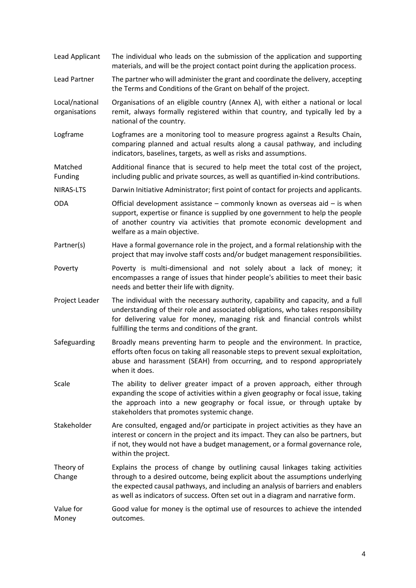| Lead Applicant                  | The individual who leads on the submission of the application and supporting<br>materials, and will be the project contact point during the application process.                                                                                                                                                                       |  |
|---------------------------------|----------------------------------------------------------------------------------------------------------------------------------------------------------------------------------------------------------------------------------------------------------------------------------------------------------------------------------------|--|
| Lead Partner                    | The partner who will administer the grant and coordinate the delivery, accepting<br>the Terms and Conditions of the Grant on behalf of the project.                                                                                                                                                                                    |  |
| Local/national<br>organisations | Organisations of an eligible country (Annex A), with either a national or local<br>remit, always formally registered within that country, and typically led by a<br>national of the country.                                                                                                                                           |  |
| Logframe                        | Logframes are a monitoring tool to measure progress against a Results Chain,<br>comparing planned and actual results along a causal pathway, and including<br>indicators, baselines, targets, as well as risks and assumptions.                                                                                                        |  |
| Matched<br>Funding              | Additional finance that is secured to help meet the total cost of the project,<br>including public and private sources, as well as quantified in-kind contributions.                                                                                                                                                                   |  |
| NIRAS-LTS                       | Darwin Initiative Administrator; first point of contact for projects and applicants.                                                                                                                                                                                                                                                   |  |
| <b>ODA</b>                      | Official development assistance $-$ commonly known as overseas aid $-$ is when<br>support, expertise or finance is supplied by one government to help the people<br>of another country via activities that promote economic development and<br>welfare as a main objective.                                                            |  |
| Partner(s)                      | Have a formal governance role in the project, and a formal relationship with the<br>project that may involve staff costs and/or budget management responsibilities.                                                                                                                                                                    |  |
| Poverty                         | Poverty is multi-dimensional and not solely about a lack of money; it<br>encompasses a range of issues that hinder people's abilities to meet their basic<br>needs and better their life with dignity.                                                                                                                                 |  |
| Project Leader                  | The individual with the necessary authority, capability and capacity, and a full<br>understanding of their role and associated obligations, who takes responsibility<br>for delivering value for money, managing risk and financial controls whilst<br>fulfilling the terms and conditions of the grant.                               |  |
| Safeguarding                    | Broadly means preventing harm to people and the environment. In practice,<br>efforts often focus on taking all reasonable steps to prevent sexual exploitation,<br>abuse and harassment (SEAH) from occurring, and to respond appropriately<br>when it does.                                                                           |  |
| Scale                           | The ability to deliver greater impact of a proven approach, either through<br>expanding the scope of activities within a given geography or focal issue, taking<br>the approach into a new geography or focal issue, or through uptake by<br>stakeholders that promotes systemic change.                                               |  |
| Stakeholder                     | Are consulted, engaged and/or participate in project activities as they have an<br>interest or concern in the project and its impact. They can also be partners, but<br>if not, they would not have a budget management, or a formal governance role,<br>within the project.                                                           |  |
| Theory of<br>Change             | Explains the process of change by outlining causal linkages taking activities<br>through to a desired outcome, being explicit about the assumptions underlying<br>the expected causal pathways, and including an analysis of barriers and enablers<br>as well as indicators of success. Often set out in a diagram and narrative form. |  |
| Value for<br>Money              | Good value for money is the optimal use of resources to achieve the intended<br>outcomes.                                                                                                                                                                                                                                              |  |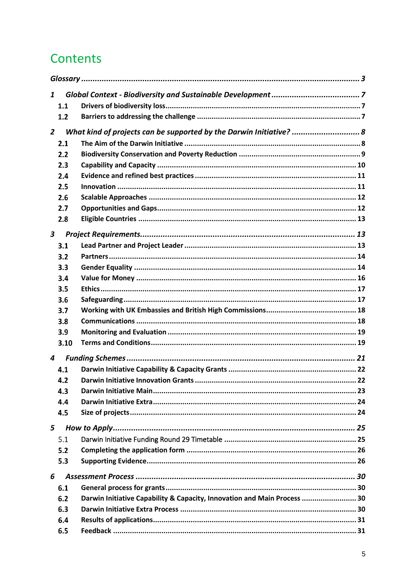## Contents

| $\mathbf{1}$     |      |                                                                          |  |
|------------------|------|--------------------------------------------------------------------------|--|
|                  | 1.1  |                                                                          |  |
|                  | 1.2  |                                                                          |  |
| $\overline{2}$   |      | What kind of projects can be supported by the Darwin Initiative?  8      |  |
|                  | 2.1  |                                                                          |  |
|                  | 2.2  |                                                                          |  |
|                  |      |                                                                          |  |
|                  | 2.3  |                                                                          |  |
|                  | 2.4  |                                                                          |  |
|                  | 2.5  |                                                                          |  |
|                  | 2.6  |                                                                          |  |
|                  | 2.7  |                                                                          |  |
|                  | 2.8  |                                                                          |  |
| $\boldsymbol{3}$ |      |                                                                          |  |
|                  | 3.1  |                                                                          |  |
|                  | 3.2  |                                                                          |  |
|                  | 3.3  |                                                                          |  |
|                  | 3.4  |                                                                          |  |
|                  | 3.5  |                                                                          |  |
|                  | 3.6  |                                                                          |  |
|                  | 3.7  |                                                                          |  |
|                  | 3.8  |                                                                          |  |
|                  | 3.9  |                                                                          |  |
|                  | 3.10 |                                                                          |  |
|                  |      |                                                                          |  |
| 4                |      |                                                                          |  |
|                  | 4.1  |                                                                          |  |
|                  | 4.2  |                                                                          |  |
|                  | 4.3  |                                                                          |  |
|                  | 4.4  |                                                                          |  |
|                  | 4.5  |                                                                          |  |
| 5                |      |                                                                          |  |
|                  | 5.1  |                                                                          |  |
|                  | 5.2  |                                                                          |  |
|                  | 5.3  |                                                                          |  |
|                  |      |                                                                          |  |
| 6                |      |                                                                          |  |
|                  | 6.1  |                                                                          |  |
|                  | 6.2  | Darwin Initiative Capability & Capacity, Innovation and Main Process  30 |  |
|                  | 6.3  |                                                                          |  |
|                  | 6.4  |                                                                          |  |
|                  | 6.5  |                                                                          |  |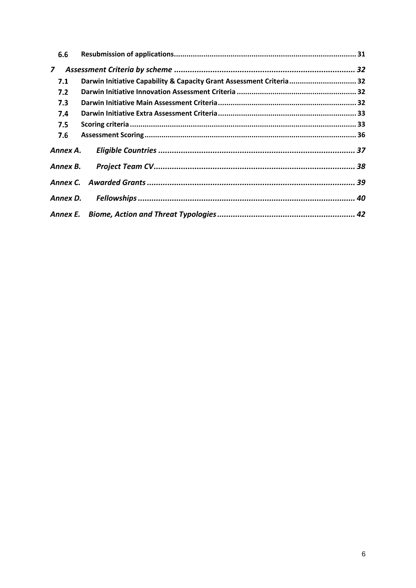| 6.6            |                                                                      |  |
|----------------|----------------------------------------------------------------------|--|
| $\overline{z}$ |                                                                      |  |
| 7.1            | Darwin Initiative Capability & Capacity Grant Assessment Criteria 32 |  |
| 7.2            |                                                                      |  |
| 7.3            |                                                                      |  |
| 7.4            |                                                                      |  |
| 7.5            |                                                                      |  |
| 7.6            |                                                                      |  |
| Annex A.       |                                                                      |  |
|                |                                                                      |  |
|                |                                                                      |  |
|                |                                                                      |  |
|                |                                                                      |  |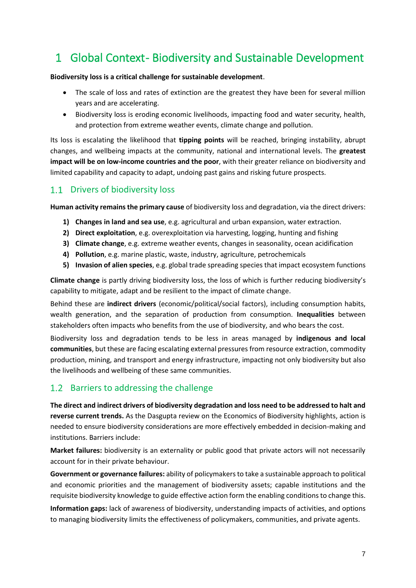## <span id="page-6-0"></span>1 Global Context-Biodiversity and Sustainable Development

### **Biodiversity loss is a critical challenge for sustainable development**.

- The scale of loss and rates of extinction are the greatest they have been for several million years and are accelerating.
- Biodiversity loss is eroding economic livelihoods, impacting food and water security, health, and protection from extreme weather events, climate change and pollution.

Its loss is escalating the likelihood that **tipping points** will be reached, bringing instability, abrupt changes, and wellbeing impacts at the community, national and international levels. The **greatest impact will be on low-income countries and the poor**, with their greater reliance on biodiversity and limited capability and capacity to adapt, undoing past gains and risking future prospects.

### <span id="page-6-1"></span>1.1 Drivers of biodiversity loss

**Human activity remains the primary cause** of biodiversity loss and degradation, via the direct drivers:

- **1) Changes in land and sea use**, e.g. agricultural and urban expansion, water extraction.
- **2) Direct exploitation**, e.g. overexploitation via harvesting, logging, hunting and fishing
- **3) Climate change**, e.g. extreme weather events, changes in seasonality, ocean acidification
- **4) Pollution**, e.g. marine plastic, waste, industry, agriculture, petrochemicals
- **5) Invasion of alien species**, e.g. global trade spreading species that impact ecosystem functions

**Climate change** is partly driving biodiversity loss, the loss of which is further reducing biodiversity's capability to mitigate, adapt and be resilient to the impact of climate change.

Behind these are **indirect drivers** (economic/political/social factors), including consumption habits, wealth generation, and the separation of production from consumption. **Inequalities** between stakeholders often impacts who benefits from the use of biodiversity, and who bears the cost.

Biodiversity loss and degradation tends to be less in areas managed by **indigenous and local communities**, but these are facing escalating external pressures from resource extraction, commodity production, mining, and transport and energy infrastructure, impacting not only biodiversity but also the livelihoods and wellbeing of these same communities.

### <span id="page-6-2"></span>1.2 Barriers to addressing the challenge

**The direct and indirect drivers of biodiversity degradation and loss need to be addressed to halt and reverse current trends.** As the Dasgupta review on the Economics of Biodiversity highlights, action is needed to ensure biodiversity considerations are more effectively embedded in decision-making and institutions. Barriers include:

**Market failures:** biodiversity is an externality or public good that private actors will not necessarily account for in their private behaviour.

**Government or governance failures:** ability of policymakers to take a sustainable approach to political and economic priorities and the management of biodiversity assets; capable institutions and the requisite biodiversity knowledge to guide effective action form the enabling conditions to change this.

**Information gaps:** lack of awareness of biodiversity, understanding impacts of activities, and options to managing biodiversity limits the effectiveness of policymakers, communities, and private agents.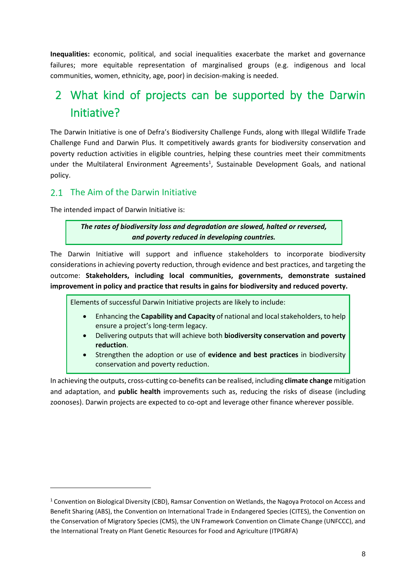**Inequalities:** economic, political, and social inequalities exacerbate the market and governance failures; more equitable representation of marginalised groups (e.g. indigenous and local communities, women, ethnicity, age, poor) in decision-making is needed.

## <span id="page-7-0"></span>2 What kind of projects can be supported by the Darwin Initiative?

The Darwin Initiative is one of Defra's Biodiversity Challenge Funds, along with Illegal Wildlife Trade Challenge Fund and Darwin Plus. It competitively awards grants for biodiversity conservation and poverty reduction activities in eligible countries, helping these countries meet their commitments under the Multilateral Environment Agreements<sup>1</sup>, Sustainable Development Goals, and national policy.

### <span id="page-7-1"></span>2.1 The Aim of the Darwin Initiative

The intended impact of Darwin Initiative is:

*The rates of biodiversity loss and degradation are slowed, halted or reversed, and poverty reduced in developing countries.*

The Darwin Initiative will support and influence stakeholders to incorporate biodiversity considerations in achieving poverty reduction, through evidence and best practices, and targeting the outcome: **Stakeholders, including local communities, governments, demonstrate sustained improvement in policy and practice that results in gains for biodiversity and reduced poverty.**

Elements of successful Darwin Initiative projects are likely to include:

- Enhancing the **Capability and Capacity** of national and local stakeholders, to help ensure a project's long-term legacy.
- Delivering outputs that will achieve both **biodiversity conservation and poverty reduction**.
- Strengthen the adoption or use of **evidence and best practices** in biodiversity conservation and poverty reduction.

<span id="page-7-2"></span>In achieving the outputs, cross-cutting co-benefits can be realised, including **climate change** mitigation and adaptation, and **public health** improvements such as, reducing the risks of disease (including zoonoses). Darwin projects are expected to co-opt and leverage other finance wherever possible.

<sup>1</sup> Convention on Biological Diversity (CBD), Ramsar Convention on Wetlands, the Nagoya Protocol on Access and Benefit Sharing (ABS), the Convention on International Trade in Endangered Species (CITES), the Convention on the Conservation of Migratory Species (CMS), the UN Framework Convention on Climate Change (UNFCCC), and the International Treaty on Plant Genetic Resources for Food and Agriculture (ITPGRFA)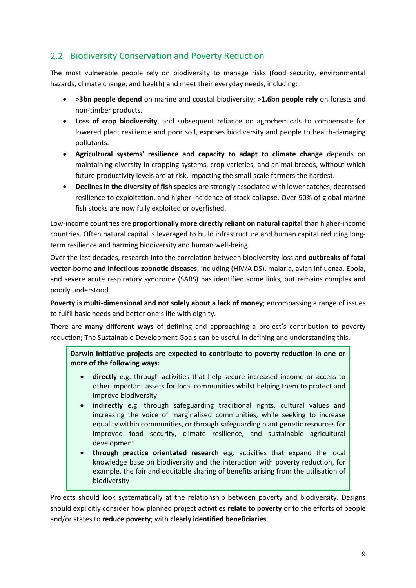### 2.2 Biodiversity Conservation and Poverty Reduction

The most vulnerable people rely on biodiversity to manage risks (food security, environmental hazards, climate change, and health) and meet their everyday needs, including:

- **>3bn people depend** on marine and coastal biodiversity; **>1.6bn people rely** on forests and non-timber products.
- **Loss of crop biodiversity**, and subsequent reliance on agrochemicals to compensate for lowered plant resilience and poor soil, exposes biodiversity and people to health-damaging pollutants.
- **Agricultural systems' resilience and capacity to adapt to climate change** depends on maintaining diversity in cropping systems, crop varieties, and animal breeds, without which future productivity levels are at risk, impacting the small-scale farmers the hardest.
- **Declines in the diversity of fish species** are strongly associated with lower catches, decreased resilience to exploitation, and higher incidence of stock collapse. Over 90% of global marine fish stocks are now fully exploited or overfished.

Low-income countries are **proportionally more directly reliant on natural capital** than higher-income countries. Often natural capital is leveraged to build infrastructure and human capital reducing longterm resilience and harming biodiversity and human well-being.

Over the last decades, research into the correlation between biodiversity loss and **outbreaks of fatal vector-borne and infectious zoonotic diseases**, including (HIV/AIDS), malaria, avian influenza, Ebola, and severe acute respiratory syndrome (SARS) has identified some links, but remains complex and poorly understood.

**Poverty is multi-dimensional and not solely about a lack of money**; encompassing a range of issues to fulfil basic needs and better one's life with dignity.

There are **many different ways** of defining and approaching a project's contribution to poverty reduction; The Sustainable Development Goals can be useful in defining and understanding this.

**Darwin Initiative projects are expected to contribute to poverty reduction in one or more of the following ways:**

- **directly** e.g. through activities that help secure increased income or access to other important assets for local communities whilst helping them to protect and improve biodiversity
- **indirectly** e.g. through safeguarding traditional rights, cultural values and increasing the voice of marginalised communities, while seeking to increase equality within communities, or through safeguarding plant genetic resources for improved food security, climate resilience, and sustainable agricultural development
- **through practice orientated research** e.g. activities that expand the local knowledge base on biodiversity and the interaction with poverty reduction, for example, the fair and equitable sharing of benefits arising from the utilisation of biodiversity

Projects should look systematically at the relationship between poverty and biodiversity. Designs should explicitly consider how planned project activities **relate to poverty** or to the efforts of people and/or states to **reduce poverty**; with **clearly identified beneficiaries**.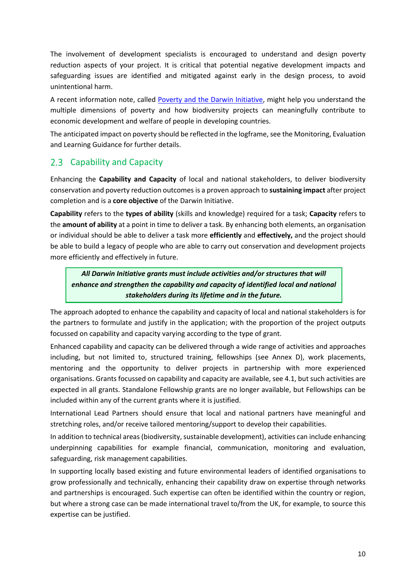The involvement of development specialists is encouraged to understand and design poverty reduction aspects of your project. It is critical that potential negative development impacts and safeguarding issues are identified and mitigated against early in the design process, to avoid unintentional harm.

A recent information note, called [Poverty and the Darwin Initiative,](https://www.darwininitiative.org.uk/publications/information-notes-and-reviews) might help you understand the multiple dimensions of poverty and how biodiversity projects can meaningfully contribute to economic development and welfare of people in developing countries.

The anticipated impact on poverty should be reflected in the logframe, see the Monitoring, Evaluation and Learning Guidance for further details.

### <span id="page-9-0"></span>2.3 Capability and Capacity

Enhancing the **Capability and Capacity** of local and national stakeholders, to deliver biodiversity conservation and poverty reduction outcomes is a proven approach to **sustaining impact** after project completion and is a **core objective** of the Darwin Initiative.

**Capability** refers to the **types of ability** (skills and knowledge) required for a task; **Capacity** refers to the **amount of ability** at a point in time to deliver a task. By enhancing both elements, an organisation or individual should be able to deliver a task more **efficiently** and **effectively,** and the project should be able to build a legacy of people who are able to carry out conservation and development projects more efficiently and effectively in future.

*All Darwin Initiative grants must include activities and/or structures that will enhance and strengthen the capability and capacity of identified local and national stakeholders during its lifetime and in the future.* 

The approach adopted to enhance the capability and capacity of local and national stakeholders is for the partners to formulate and justify in the application; with the proportion of the project outputs focussed on capability and capacity varying according to the type of grant.

Enhanced capability and capacity can be delivered through a wide range of activities and approaches including, but not limited to, structured training, fellowships (see [Annex D\)](#page-39-0), work placements, mentoring and the opportunity to deliver projects in partnership with more experienced organisations. Grants focussed on capability and capacity are available, se[e 4.1,](#page-21-0) but such activities are expected in all grants. Standalone Fellowship grants are no longer available, but Fellowships can be included within any of the current grants where it is justified.

International Lead Partners should ensure that local and national partners have meaningful and stretching roles, and/or receive tailored mentoring/support to develop their capabilities.

In addition to technical areas (biodiversity, sustainable development), activities can include enhancing underpinning capabilities for example financial, communication, monitoring and evaluation, safeguarding, risk management capabilities.

In supporting locally based existing and future environmental leaders of identified organisations to grow professionally and technically, enhancing their capability draw on expertise through networks and partnerships is encouraged. Such expertise can often be identified within the country or region, but where a strong case can be made international travel to/from the UK, for example, to source this expertise can be justified.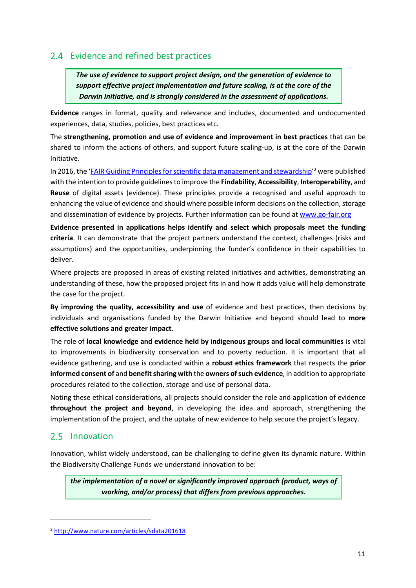### <span id="page-10-3"></span><span id="page-10-0"></span>2.4 Evidence and refined best practices

*The use of evidence to support project design, and the generation of evidence to support effective project implementation and future scaling, is at the core of the Darwin Initiative, and is strongly considered in the assessment of applications.*

**Evidence** ranges in format, quality and relevance and includes, documented and undocumented experiences, data, studies, policies, best practices etc.

The **strengthening, promotion and use of evidence and improvement in best practices** that can be shared to inform the actions of others, and support future scaling-up, is at the core of the Darwin Initiative.

In 2016, the '*[FAIR Guiding Principles for scientific data management and stewardship](http://www.nature.com/articles/sdata201618)*<sup>2</sup> were published with the intention to provide guidelines to improve the **Findability**, **Accessibility**, **Interoperability**, and **Reuse** of digital assets (evidence). These principles provide a recognised and useful approach to enhancing the value of evidence and should where possible inform decisions on the collection, storage and dissemination of evidence by projects. Further information can be found at [www.go-fair.org](http://www.go-fair.org/)

**Evidence presented in applications helps identify and select which proposals meet the funding criteria**. It can demonstrate that the project partners understand the context, challenges (risks and assumptions) and the opportunities, underpinning the funder's confidence in their capabilities to deliver.

<span id="page-10-2"></span>Where projects are proposed in areas of existing related initiatives and activities, demonstrating an understanding of these, how the proposed project fits in and how it adds value will help demonstrate the case for the project.

**By improving the quality, accessibility and use** of evidence and best practices, then decisions by individuals and organisations funded by the Darwin Initiative and beyond should lead to **more effective solutions and greater impact**.

The role of **local knowledge and evidence held by indigenous groups and local communities** is vital to improvements in biodiversity conservation and to poverty reduction. It is important that all evidence gathering, and use is conducted within a **robust ethics framework** that respects the **prior informed consent of** and **benefit sharing with** the **owners of such evidence**, in addition to appropriate procedures related to the collection, storage and use of personal data.

Noting these ethical considerations, all projects should consider the role and application of evidence **throughout the project and beyond**, in developing the idea and approach, strengthening the implementation of the project, and the uptake of new evidence to help secure the project's legacy.

### <span id="page-10-1"></span>2.5 Innovation

Innovation, whilst widely understood, can be challenging to define given its dynamic nature. Within the Biodiversity Challenge Funds we understand innovation to be:

*the implementation of a novel or significantly improved approach (product, ways of working, and/or process) that differs from previous approaches.* 

<sup>2</sup> <http://www.nature.com/articles/sdata201618>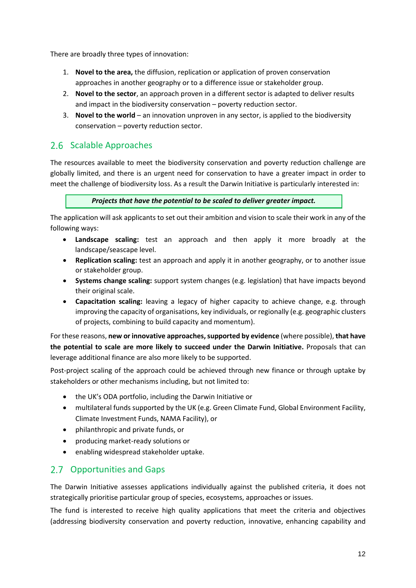There are broadly three types of innovation:

- 1. **Novel to the area,** the diffusion, replication or application of proven conservation approaches in another geography or to a difference issue or stakeholder group.
- 2. **Novel to the sector**, an approach proven in a different sector is adapted to deliver results and impact in the biodiversity conservation – poverty reduction sector.
- 3. **Novel to the world** an innovation unproven in any sector, is applied to the biodiversity conservation – poverty reduction sector.

### <span id="page-11-0"></span>2.6 Scalable Approaches

The resources available to meet the biodiversity conservation and poverty reduction challenge are globally limited, and there is an urgent need for conservation to have a greater impact in order to meet the challenge of biodiversity loss. As a result the Darwin Initiative is particularly interested in:

### *Projects that have the potential to be scaled to deliver greater impact.*

The application will ask applicants to set out their ambition and vision to scale their work in any of the following ways:

- **Landscape scaling:** test an approach and then apply it more broadly at the landscape/seascape level.
- **Replication scaling:** test an approach and apply it in another geography, or to another issue or stakeholder group.
- **Systems change scaling:** support system changes (e.g. legislation) that have impacts beyond their original scale.
- **Capacitation scaling:** leaving a legacy of higher capacity to achieve change, e.g. through improving the capacity of organisations, key individuals, or regionally (e.g. geographic clusters of projects, combining to build capacity and momentum).

For these reasons, **new or innovative approaches, supported by evidence** (where possible), **that have the potential to scale are more likely to succeed under the Darwin Initiative.** Proposals that can leverage additional finance are also more likely to be supported.

Post-project scaling of the approach could be achieved through new finance or through uptake by stakeholders or other mechanisms including, but not limited to:

- the UK's ODA portfolio, including the Darwin Initiative or
- multilateral funds supported by the UK (e.g. Green Climate Fund, Global Environment Facility, Climate Investment Funds, NAMA Facility), or
- philanthropic and private funds, or
- producing market-ready solutions or
- enabling widespread stakeholder uptake.

### <span id="page-11-1"></span>2.7 Opportunities and Gaps

The Darwin Initiative assesses applications individually against the published criteria, it does not strategically prioritise particular group of species, ecosystems, approaches or issues.

The fund is interested to receive high quality applications that meet the criteria and objectives (addressing biodiversity conservation and poverty reduction, innovative, enhancing capability and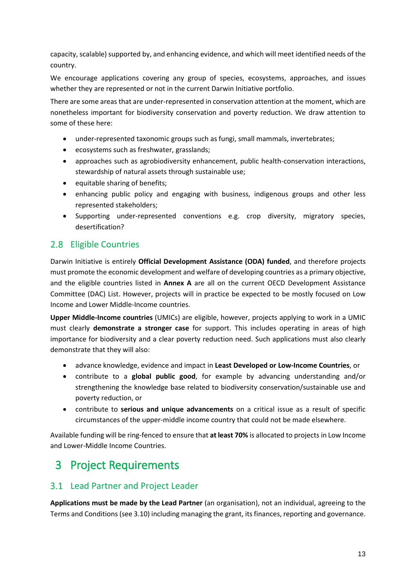capacity, scalable) supported by, and enhancing evidence, and which will meet identified needs of the country.

We encourage applications covering any group of species, ecosystems, approaches, and issues whether they are represented or not in the current Darwin Initiative portfolio.

There are some areas that are under-represented in conservation attention at the moment, which are nonetheless important for biodiversity conservation and poverty reduction. We draw attention to some of these here:

- under-represented taxonomic groups such as fungi, small mammals, invertebrates;
- ecosystems such as freshwater, grasslands;
- approaches such as agrobiodiversity enhancement, public health-conservation interactions, stewardship of natural assets through sustainable use;
- equitable sharing of benefits;
- enhancing public policy and engaging with business, indigenous groups and other less represented stakeholders;
- Supporting under-represented conventions e.g. crop diversity, migratory species, desertification?

### <span id="page-12-0"></span>2.8 Eligible Countries

Darwin Initiative is entirely **Official Development Assistance (ODA) funded**, and therefore projects must promote the economic development and welfare of developing countries as a primary objective, and the eligible countries listed in **[Annex A](#page-36-0)** are all on the current OECD Development Assistance Committee (DAC) List. However, projects will in practice be expected to be mostly focused on Low Income and Lower Middle-Income countries.

**Upper Middle-Income countries** (UMICs) are eligible, however, projects applying to work in a UMIC must clearly **demonstrate a stronger case** for support. This includes operating in areas of high importance for biodiversity and a clear poverty reduction need. Such applications must also clearly demonstrate that they will also:

- advance knowledge, evidence and impact in **Least Developed or Low-Income Countries**, or
- contribute to a **global public good**, for example by advancing understanding and/or strengthening the knowledge base related to biodiversity conservation/sustainable use and poverty reduction, or
- contribute to **serious and unique advancements** on a critical issue as a result of specific circumstances of the upper-middle income country that could not be made elsewhere.

Available funding will be ring-fenced to ensure that **at least 70%** is allocated to projects in Low Income and Lower-Middle Income Countries.

## <span id="page-12-1"></span>3 Project Requirements

### <span id="page-12-2"></span>3.1 Lead Partner and Project Leader

**Applications must be made by the Lead Partner** (an organisation), not an individual, agreeing to the Terms and Conditions(se[e 3.10\)](#page-18-1) including managing the grant, its finances, reporting and governance.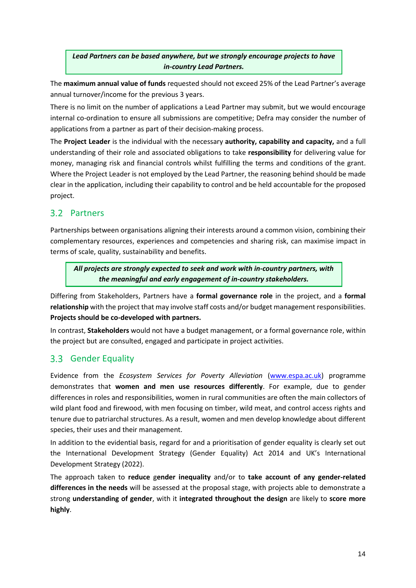*Lead Partners can be based anywhere, but we strongly encourage projects to have in-country Lead Partners.*

The **maximum annual value of funds** requested should not exceed 25% of the Lead Partner's average annual turnover/income for the previous 3 years.

There is no limit on the number of applications a Lead Partner may submit, but we would encourage internal co-ordination to ensure all submissions are competitive; Defra may consider the number of applications from a partner as part of their decision-making process.

The **Project Leader** is the individual with the necessary **authority, capability and capacity,** and a full understanding of their role and associated obligations to take **responsibility** for delivering value for money, managing risk and financial controls whilst fulfilling the terms and conditions of the grant. Where the Project Leader is not employed by the Lead Partner, the reasoning behind should be made clear in the application, including their capability to control and be held accountable for the proposed project.

### <span id="page-13-0"></span>3.2 Partners

Partnerships between organisations aligning their interests around a common vision, combining their complementary resources, experiences and competencies and sharing risk, can maximise impact in terms of scale, quality, sustainability and benefits.

*All projects are strongly expected to seek and work with in-country partners, with the meaningful and early engagement of in-country stakeholders.*

Differing from Stakeholders, Partners have a **formal governance role** in the project, and a **formal relationship** with the project that may involve staff costs and/or budget management responsibilities. **Projects should be co-developed with partners.**

In contrast, **Stakeholders** would not have a budget management, or a formal governance role, within the project but are consulted, engaged and participate in project activities.

### <span id="page-13-1"></span>3.3 Gender Equality

Evidence from the *Ecosystem Services for Poverty Alleviation* [\(www.espa.ac.uk\)](http://www.espa.ac.uk/) programme demonstrates that **women and men use resources differently**. For example, due to gender differences in roles and responsibilities, women in rural communities are often the main collectors of wild plant food and firewood, with men focusing on timber, wild meat, and control access rights and tenure due to patriarchal structures. As a result, women and men develop knowledge about different species, their uses and their management.

In addition to the evidential basis, regard for and a prioritisation of gender equality is clearly set out the International Development Strategy (Gender Equality) Act 2014 and UK's International Development Strategy (2022).

The approach taken to **reduce** g**ender inequality** and/or to **take account of any gender-related differences in the needs** will be assessed at the proposal stage, with projects able to demonstrate a strong **understanding of gender**, with it **integrated throughout the design** are likely to **score more highly**.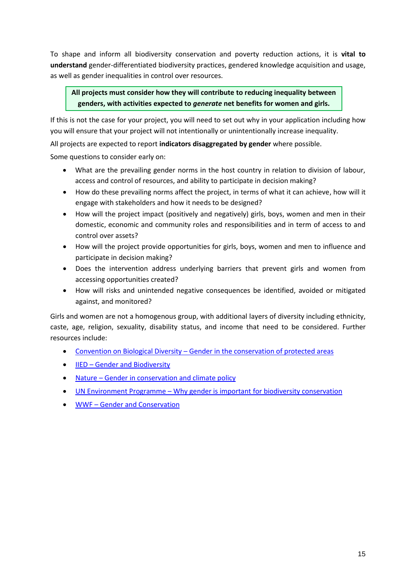To shape and inform all biodiversity conservation and poverty reduction actions, it is **vital to understand** gender-differentiated biodiversity practices, gendered knowledge acquisition and usage, as well as gender inequalities in control over resources.

### **All projects must consider how they will contribute to reducing inequality between genders, with activities expected to** *generate* **net benefits for women and girls.**

If this is not the case for your project, you will need to set out why in your application including how you will ensure that your project will not intentionally or unintentionally increase inequality.

All projects are expected to report **indicators disaggregated by gender** where possible.

Some questions to consider early on:

- What are the prevailing gender norms in the host country in relation to division of labour, access and control of resources, and ability to participate in decision making?
- How do these prevailing norms affect the project, in terms of what it can achieve, how will it engage with stakeholders and how it needs to be designed?
- How will the project impact (positively and negatively) girls, boys, women and men in their domestic, economic and community roles and responsibilities and in term of access to and control over assets?
- How will the project provide opportunities for girls, boys, women and men to influence and participate in decision making?
- Does the intervention address underlying barriers that prevent girls and women from accessing opportunities created?
- How will risks and unintended negative consequences be identified, avoided or mitigated against, and monitored?

Girls and women are not a homogenous group, with additional layers of diversity including ethnicity, caste, age, religion, sexuality, disability status, and income that need to be considered. Further resources include:

- Convention on Biological Diversity [Gender in the conservation of protected areas](https://www.cbd.int/doc/pa/tools/Gender%20in%20the%20conservation%20of%20protected%20areas.pdf)
- **IIED [Gender and Biodiversity](https://www.iied.org/gender)**
- Nature [Gender in conservation and climate policy](https://www.nature.com/articles/s41558-019-0448-2.pdf)
- UN Environment Programme [Why gender is important for biodiversity conservation](https://www.unep.org/news-and-stories/story/why-gender-important-biodiversity-conservation)
- <span id="page-14-0"></span>• WWF – [Gender and Conservation](https://wwf.panda.org/our_work/people/people_and_conservation/our_work/gender_and_conservation/#:~:text=Gender%20and%20conservation%20work,about%20the%20environments%20around%20them.)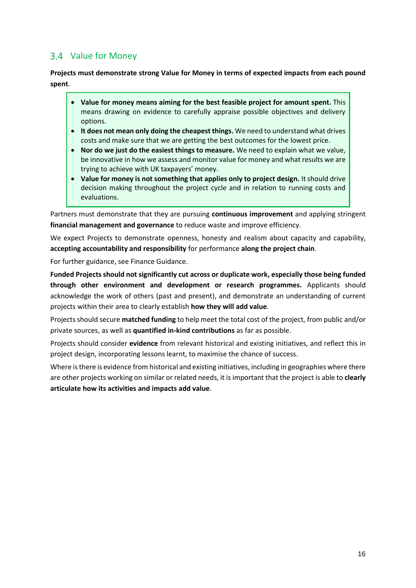### 3.4 Value for Money

**Projects must demonstrate strong Value for Money in terms of expected impacts from each pound spent**.

- **Value for money means aiming for the best feasible project for amount spent.** This means drawing on evidence to carefully appraise possible objectives and delivery options.
- **It does not mean only doing the cheapest things.** We need to understand what drives costs and make sure that we are getting the best outcomes for the lowest price.
- **Nor do we just do the easiest things to measure.** We need to explain what we value, be innovative in how we assess and monitor value for money and what results we are trying to achieve with UK taxpayers' money.
- **Value for money is not something that applies only to project design.** It should drive decision making throughout the project cycle and in relation to running costs and evaluations.

Partners must demonstrate that they are pursuing **continuous improvement** and applying stringent **financial management and governance** to reduce waste and improve efficiency.

We expect Projects to demonstrate openness, honesty and realism about capacity and capability, **accepting accountability and responsibility** for performance **along the project chain**.

For further guidance, see Finance Guidance.

**Funded Projects should not significantly cut across or duplicate work, especially those being funded through other environment and development or research programmes.** Applicants should acknowledge the work of others (past and present), and demonstrate an understanding of current projects within their area to clearly establish **how they will add value**.

Projects should secure **matched funding** to help meet the total cost of the project, from public and/or private sources, as well as **quantified in-kind contributions** as far as possible.

Projects should consider **evidence** from relevant historical and existing initiatives, and reflect this in project design, incorporating lessons learnt, to maximise the chance of success.

<span id="page-15-0"></span>Where is there is evidence from historical and existing initiatives, including in geographies where there are other projects working on similar or related needs, it is important that the project is able to **clearly articulate how its activities and impacts add value**.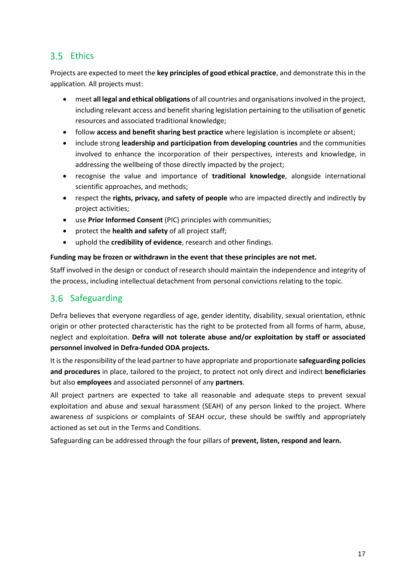### 3.5 Ethics

Projects are expected to meet the **key principles of good ethical practice**, and demonstrate this in the application. All projects must:

- meet **all legal and ethical obligations** of all countries and organisationsinvolved in the project, including relevant access and benefit sharing legislation pertaining to the utilisation of genetic resources and associated traditional knowledge;
- follow **access and benefit sharing best practice** where legislation is incomplete or absent;
- include strong **leadership and participation from developing countries** and the communities involved to enhance the incorporation of their perspectives, interests and knowledge, in addressing the wellbeing of those directly impacted by the project;
- recognise the value and importance of **traditional knowledge**, alongside international scientific approaches, and methods;
- respect the **rights, privacy, and safety of people** who are impacted directly and indirectly by project activities;
- use **Prior Informed Consent** (PIC) principles with communities;
- protect the **health and safety** of all project staff;
- uphold the **credibility of evidence**, research and other findings.

### **Funding may be frozen or withdrawn in the event that these principles are not met.**

Staff involved in the design or conduct of research should maintain the independence and integrity of the process, including intellectual detachment from personal convictions relating to the topic.

### <span id="page-16-0"></span>3.6 Safeguarding

Defra believes that everyone regardless of age, gender identity, disability, sexual orientation, ethnic origin or other protected characteristic has the right to be protected from all forms of harm, abuse, neglect and exploitation. **Defra will not tolerate abuse and/or exploitation by staff or associated personnel involved in Defra-funded ODA projects.**

It is the responsibility of the lead partner to have appropriate and proportionate **safeguarding policies and procedures** in place, tailored to the project, to protect not only direct and indirect **beneficiaries** but also **employees** and associated personnel of any **partners**.

All project partners are expected to take all reasonable and adequate steps to prevent sexual exploitation and abuse and sexual harassment (SEAH) of any person linked to the project. Where awareness of suspicions or complaints of SEAH occur, these should be swiftly and appropriately actioned as set out in the Terms and Conditions.

Safeguarding can be addressed through the four pillars of **prevent, listen, respond and learn.**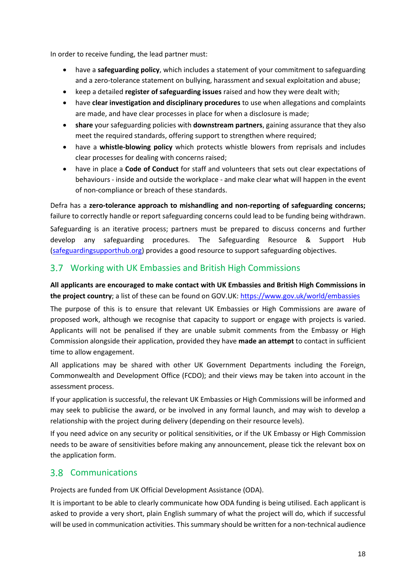In order to receive funding, the lead partner must:

- have a **safeguarding policy**, which includes a statement of your commitment to safeguarding and a zero-tolerance statement on bullying, harassment and sexual exploitation and abuse;
- keep a detailed **register of safeguarding issues** raised and how they were dealt with;
- have **clear investigation and disciplinary procedures** to use when allegations and complaints are made, and have clear processes in place for when a disclosure is made;
- **share** your safeguarding policies with **downstream partners**, gaining assurance that they also meet the required standards, offering support to strengthen where required;
- have a **whistle-blowing policy** which protects whistle blowers from reprisals and includes clear processes for dealing with concerns raised;
- have in place a **Code of Conduct** for staff and volunteers that sets out clear expectations of behaviours - inside and outside the workplace - and make clear what will happen in the event of non-compliance or breach of these standards.

Defra has a **zero-tolerance approach to mishandling and non-reporting of safeguarding concerns;**  failure to correctly handle or report safeguarding concerns could lead to be funding being withdrawn. Safeguarding is an iterative process; partners must be prepared to discuss concerns and further develop any safeguarding procedures. The Safeguarding Resource & Support Hub [\(safeguardingsupporthub.org\)](https://safeguardingsupporthub.org/) provides a good resource to support safeguarding objectives.

### <span id="page-17-0"></span>Working with UK Embassies and British High Commissions

### **All applicants are encouraged to make contact with UK Embassies and British High Commissions in the project country**; a list of these can be found on GOV.UK:<https://www.gov.uk/world/embassies>

The purpose of this is to ensure that relevant UK Embassies or High Commissions are aware of proposed work, although we recognise that capacity to support or engage with projects is varied. Applicants will not be penalised if they are unable submit comments from the Embassy or High Commission alongside their application, provided they have **made an attempt** to contact in sufficient time to allow engagement.

All applications may be shared with other UK Government Departments including the Foreign, Commonwealth and Development Office (FCDO); and their views may be taken into account in the assessment process.

If your application is successful, the relevant UK Embassies or High Commissions will be informed and may seek to publicise the award, or be involved in any formal launch, and may wish to develop a relationship with the project during delivery (depending on their resource levels).

If you need advice on any security or political sensitivities, or if the UK Embassy or High Commission needs to be aware of sensitivities before making any announcement, please tick the relevant box on the application form.

### <span id="page-17-1"></span>3.8 Communications

Projects are funded from UK Official Development Assistance (ODA).

It is important to be able to clearly communicate how ODA funding is being utilised. Each applicant is asked to provide a very short, plain English summary of what the project will do, which if successful will be used in communication activities. This summary should be written for a non-technical audience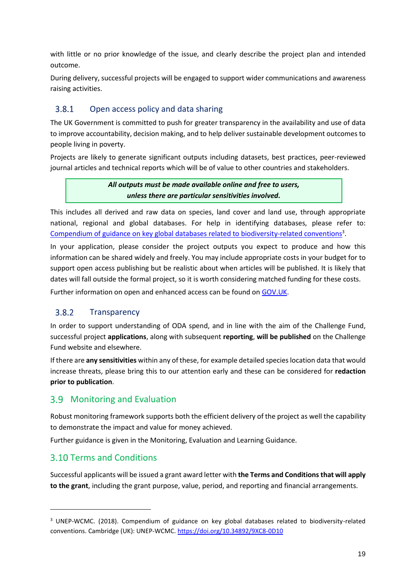with little or no prior knowledge of the issue, and clearly describe the project plan and intended outcome.

During delivery, successful projects will be engaged to support wider communications and awareness raising activities.

#### 3.8.1 Open access policy and data sharing

The UK Government is committed to push for greater transparency in the availability and use of data to improve accountability, decision making, and to help deliver sustainable development outcomes to people living in poverty.

Projects are likely to generate significant outputs including datasets, best practices, peer-reviewed journal articles and technical reports which will be of value to other countries and stakeholders.

> *All outputs must be made available online and free to users, unless there are particular sensitivities involved.*

This includes all derived and raw data on species, land cover and land use, through appropriate national, regional and global databases. For help in identifying databases, please refer to: [Compendium of guidance on key global databases related to biodiversity-related conventions](https://www.sprep.org/attachments/VirLib/Global/compendium-guidance-databases-biodiversity-conventions.pdf)<sup>3</sup>.

In your application, please consider the project outputs you expect to produce and how this information can be shared widely and freely. You may include appropriate costs in your budget for to support open access publishing but be realistic about when articles will be published. It is likely that dates will fall outside the formal project, so it is worth considering matched funding for these costs.

Further information on open and enhanced access can be found on [GOV.UK.](https://www.gov.uk/government/publications/dfid-research-open-and-enhanced-access-policy.)

#### 3.8.2 **Transparency**

In order to support understanding of ODA spend, and in line with the aim of the Challenge Fund, successful project **applications**, along with subsequent **reporting**, **will be published** on the Challenge Fund website and elsewhere.

If there are **any sensitivities** within any of these, for example detailed species location data that would increase threats, please bring this to our attention early and these can be considered for **redaction prior to publication**.

### <span id="page-18-0"></span>**3.9 Monitoring and Evaluation**

Robust monitoring framework supports both the efficient delivery of the project as well the capability to demonstrate the impact and value for money achieved.

Further guidance is given in the Monitoring, Evaluation and Learning Guidance.

### <span id="page-18-1"></span>3.10 Terms and Conditions

Successful applicants will be issued a grant award letter with **the Terms and Conditions that will apply to the grant**, including the grant purpose, value, period, and reporting and financial arrangements.

<sup>&</sup>lt;sup>3</sup> UNEP-WCMC. (2018). Compendium of guidance on key global databases related to biodiversity-related conventions. Cambridge (UK): UNEP-WCMC.<https://doi.org/10.34892/9XC8-0D10>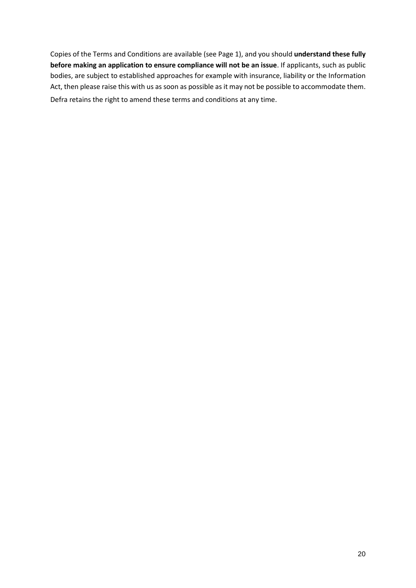Copies of the Terms and Conditions are available (see Page 1), and you should **understand these fully before making an application to ensure compliance will not be an issue**. If applicants, such as public bodies, are subject to established approaches for example with insurance, liability or the Information Act, then please raise this with us as soon as possible as it may not be possible to accommodate them. Defra retains the right to amend these terms and conditions at any time.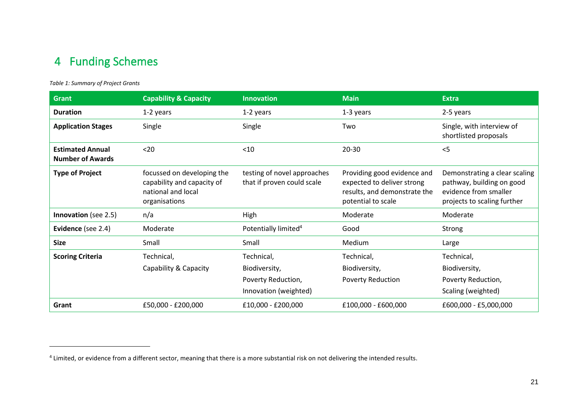## 4 Funding Schemes

### *Table 1: Summary of Project Grants*

<span id="page-20-0"></span>

| <b>Grant</b>                                       | <b>Capability &amp; Capacity</b>                                                                | <b>Innovation</b>                                         | <b>Main</b>                                                                                                     | <b>Extra</b>                                                                                                       |
|----------------------------------------------------|-------------------------------------------------------------------------------------------------|-----------------------------------------------------------|-----------------------------------------------------------------------------------------------------------------|--------------------------------------------------------------------------------------------------------------------|
| <b>Duration</b>                                    | 1-2 years                                                                                       | 1-2 years                                                 | 1-3 years                                                                                                       | 2-5 years                                                                                                          |
| <b>Application Stages</b>                          | Single                                                                                          | Single                                                    | Two                                                                                                             | Single, with interview of<br>shortlisted proposals                                                                 |
| <b>Estimated Annual</b><br><b>Number of Awards</b> | $20$                                                                                            | $<$ 10                                                    | $20 - 30$                                                                                                       | $<$ 5                                                                                                              |
| <b>Type of Project</b>                             | focussed on developing the<br>capability and capacity of<br>national and local<br>organisations | testing of novel approaches<br>that if proven could scale | Providing good evidence and<br>expected to deliver strong<br>results, and demonstrate the<br>potential to scale | Demonstrating a clear scaling<br>pathway, building on good<br>evidence from smaller<br>projects to scaling further |
| <b>Innovation</b> (see 2.5)                        | n/a                                                                                             | High                                                      | Moderate                                                                                                        | Moderate                                                                                                           |
| Evidence (see 2.4)                                 | Moderate                                                                                        | Potentially limited <sup>4</sup>                          | Good                                                                                                            | Strong                                                                                                             |
| <b>Size</b>                                        | Small                                                                                           | Small                                                     | Medium                                                                                                          | Large                                                                                                              |
| <b>Scoring Criteria</b>                            | Technical,                                                                                      | Technical,                                                | Technical,                                                                                                      | Technical,                                                                                                         |
|                                                    | Capability & Capacity                                                                           | Biodiversity,                                             | Biodiversity,                                                                                                   | Biodiversity,                                                                                                      |
|                                                    |                                                                                                 | Poverty Reduction,                                        | <b>Poverty Reduction</b>                                                                                        | Poverty Reduction,                                                                                                 |
|                                                    |                                                                                                 | Innovation (weighted)                                     |                                                                                                                 | Scaling (weighted)                                                                                                 |
| Grant                                              | £50,000 - £200,000                                                                              | £10,000 - £200,000                                        | £100,000 - £600,000                                                                                             | £600,000 - £5,000,000                                                                                              |

<sup>&</sup>lt;sup>4</sup> Limited, or evidence from a different sector, meaning that there is a more substantial risk on not delivering the intended results.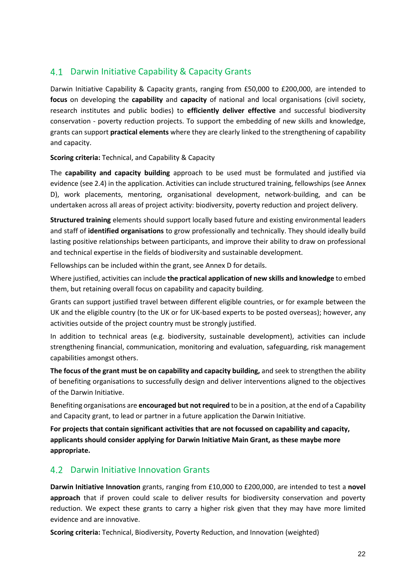### <span id="page-21-0"></span>4.1 Darwin Initiative Capability & Capacity Grants

Darwin Initiative Capability & Capacity grants, ranging from £50,000 to £200,000, are intended to **focus** on developing the **capability** and **capacity** of national and local organisations (civil society, research institutes and public bodies) to **efficiently deliver effective** and successful biodiversity conservation - poverty reduction projects. To support the embedding of new skills and knowledge, grants can support **practical elements** where they are clearly linked to the strengthening of capability and capacity.

**Scoring criteria:** Technical, and Capability & Capacity

The **capability and capacity building** approach to be used must be formulated and justified via evidence (se[e 2.4\)](#page-10-0) in the application. Activities can include structured training, fellowships (se[e Annex](#page-39-0)  [D\)](#page-39-0), work placements, mentoring, organisational development, network-building, and can be undertaken across all areas of project activity: biodiversity, poverty reduction and project delivery.

**Structured training** elements should support locally based future and existing environmental leaders and staff of **identified organisations** to grow professionally and technically. They should ideally build lasting positive relationships between participants, and improve their ability to draw on professional and technical expertise in the fields of biodiversity and sustainable development.

Fellowships can be included within the grant, see [Annex D](#page-39-0) for details.

Where justified, activities can include **the practical application of new skills and knowledge** to embed them, but retaining overall focus on capability and capacity building.

Grants can support justified travel between different eligible countries, or for example between the UK and the eligible country (to the UK or for UK-based experts to be posted overseas); however, any activities outside of the project country must be strongly justified.

In addition to technical areas (e.g. biodiversity, sustainable development), activities can include strengthening financial, communication, monitoring and evaluation, safeguarding, risk management capabilities amongst others.

**The focus of the grant must be on capability and capacity building,** and seek to strengthen the ability of benefiting organisations to successfully design and deliver interventions aligned to the objectives of the Darwin Initiative.

Benefiting organisations are **encouraged but not required** to be in a position, at the end of a Capability and Capacity grant, to lead or partner in a future application the Darwin Initiative.

**For projects that contain significant activities that are not focussed on capability and capacity, applicants should consider applying for Darwin Initiative Main Grant, as these maybe more appropriate.** 

### <span id="page-21-1"></span>4.2 Darwin Initiative Innovation Grants

**Darwin Initiative Innovation** grants, ranging from £10,000 to £200,000, are intended to test a **novel approach** that if proven could scale to deliver results for biodiversity conservation and poverty reduction. We expect these grants to carry a higher risk given that they may have more limited evidence and are innovative.

**Scoring criteria:** Technical, Biodiversity, Poverty Reduction, and Innovation (weighted)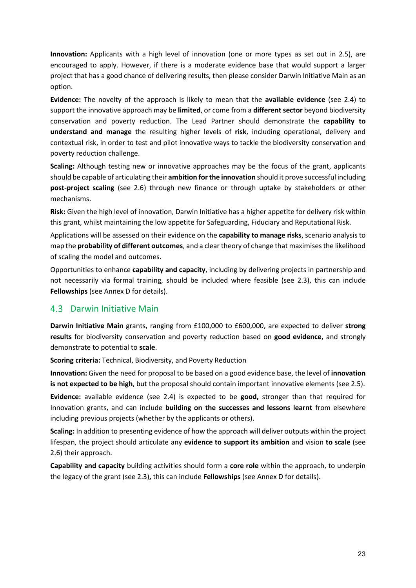**Innovation:** Applicants with a high level of innovation (one or more types as set out in [2.5\)](#page-10-1), are encouraged to apply. However, if there is a moderate evidence base that would support a larger project that has a good chance of delivering results, then please consider Darwin Initiative Main as an option.

**Evidence:** The novelty of the approach is likely to mean that the **available evidence** (see [2.4\)](#page-10-0) to support the innovative approach may be **limited**, or come from a **different sector** beyond biodiversity conservation and poverty reduction. The Lead Partner should demonstrate the **capability to understand and manage** the resulting higher levels of **risk**, including operational, delivery and contextual risk, in order to test and pilot innovative ways to tackle the biodiversity conservation and poverty reduction challenge.

**Scaling:** Although testing new or innovative approaches may be the focus of the grant, applicants should be capable of articulating their **ambition for the innovation** should it prove successful including **post-project scaling** (see [2.6\)](#page-11-0) through new finance or through uptake by stakeholders or other mechanisms.

**Risk:** Given the high level of innovation, Darwin Initiative has a higher appetite for delivery risk within this grant, whilst maintaining the low appetite for Safeguarding, Fiduciary and Reputational Risk.

Applications will be assessed on their evidence on the **capability to manage risks**, scenario analysis to map the **probability of different outcomes**, and a clear theory of change that maximises the likelihood of scaling the model and outcomes.

Opportunities to enhance **capability and capacity**, including by delivering projects in partnership and not necessarily via formal training, should be included where feasible (see [2.3\)](#page-9-0), this can include **Fellowships** (see [Annex D](#page-39-0) for details).

### <span id="page-22-0"></span>Darwin Initiative Main

**Darwin Initiative Main** grants, ranging from £100,000 to £600,000, are expected to deliver **strong results** for biodiversity conservation and poverty reduction based on **good evidence**, and strongly demonstrate to potential to **scale**.

**Scoring criteria:** Technical, Biodiversity, and Poverty Reduction

**Innovation:** Given the need for proposal to be based on a good evidence base, the level of **innovation is not expected to be high**, but the proposal should contain important innovative elements (see [2.5\)](#page-10-1).

**Evidence:** available evidence (see [2.4\)](#page-10-0) is expected to be **good,** stronger than that required for Innovation grants, and can include **building on the successes and lessons learnt** from elsewhere including previous projects (whether by the applicants or others).

**Scaling:** In addition to presenting evidence of how the approach will deliver outputs within the project lifespan, the project should articulate any **evidence to support its ambition** and vision **to scale** (see [2.6\)](#page-11-0) their approach.

**Capability and capacity** building activities should form a **core role** within the approach, to underpin the legacy of the grant (see [2.3\)](#page-9-0)**,** this can include **Fellowships** (see [Annex D](#page-39-0) for details).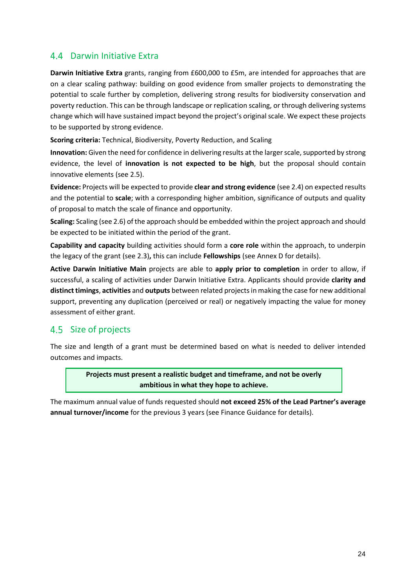### <span id="page-23-0"></span>Darwin Initiative Extra

**Darwin Initiative Extra** grants, ranging from £600,000 to £5m, are intended for approaches that are on a clear scaling pathway: building on good evidence from smaller projects to demonstrating the potential to scale further by completion, delivering strong results for biodiversity conservation and poverty reduction. This can be through landscape or replication scaling, or through delivering systems change which will have sustained impact beyond the project's original scale. We expect these projects to be supported by strong evidence.

**Scoring criteria:** Technical, Biodiversity, Poverty Reduction, and Scaling

**Innovation:** Given the need for confidence in delivering results at the larger scale, supported by strong evidence, the level of **innovation is not expected to be high**, but the proposal should contain innovative elements (see [2.5\)](#page-10-1).

**Evidence:** Projects will be expected to provide **clear and strong evidence** (se[e 2.4\)](#page-10-0) on expected results and the potential to **scale**; with a corresponding higher ambition, significance of outputs and quality of proposal to match the scale of finance and opportunity.

**Scaling:** Scaling (se[e 2.6\)](#page-11-0) of the approach should be embedded within the project approach and should be expected to be initiated within the period of the grant.

**Capability and capacity** building activities should form a **core role** within the approach, to underpin the legacy of the grant (see [2.3\)](#page-9-0)**,** this can include **Fellowships** (see [Annex D](#page-39-0) for details).

**Active Darwin Initiative Main** projects are able to **apply prior to completion** in order to allow, if successful, a scaling of activities under Darwin Initiative Extra. Applicants should provide **clarity and distinct timings**, **activities** and **outputs** between related projects in making the case for new additional support, preventing any duplication (perceived or real) or negatively impacting the value for money assessment of either grant.

### <span id="page-23-1"></span>4.5 Size of projects

The size and length of a grant must be determined based on what is needed to deliver intended outcomes and impacts.

> **Projects must present a realistic budget and timeframe, and not be overly ambitious in what they hope to achieve.**

The maximum annual value of funds requested should **not exceed 25% of the Lead Partner's average annual turnover/income** for the previous 3 years (see Finance Guidance for details).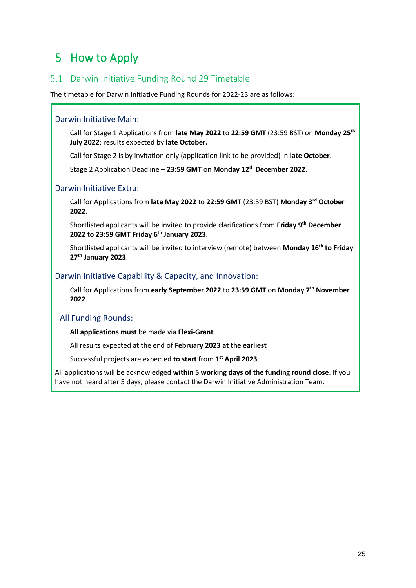## <span id="page-24-0"></span>5 How to Apply

### <span id="page-24-1"></span>5.1 Darwin Initiative Funding Round 29 Timetable

The timetable for Darwin Initiative Funding Rounds for 2022-23 are as follows:

### Darwin Initiative Main:

Call for Stage 1 Applications from **late May 2022** to **22:59 GMT** (23:59 BST) on **Monday 25th July 2022**; results expected by **late October.** 

Call for Stage 2 is by invitation only (application link to be provided) in **late October**.

Stage 2 Application Deadline – **23:59 GMT** on **Monday 12th December 2022**.

### Darwin Initiative Extra:

Call for Applications from **late May 2022** to **22:59 GMT** (23:59 BST) **Monday 3rd October 2022**.

Shortlisted applicants will be invited to provide clarifications from **Friday 9th December 2022** to **23:59 GMT Friday 6th January 2023**.

Shortlisted applicants will be invited to interview (remote) between **Monday 16th to Friday 27th January 2023**.

### Darwin Initiative Capability & Capacity, and Innovation:

Call for Applications from **early September 2022** to **23:59 GMT** on **Monday 7th November 2022**.

### All Funding Rounds:

**All applications must** be made via **Flexi-Grant** 

All results expected at the end of **February 2023 at the earliest**

Successful projects are expected **to start** from **1 st April 2023**

All applications will be acknowledged **within 5 working days of the funding round close**. If you have not heard after 5 days, please contact the Darwin Initiative Administration Team.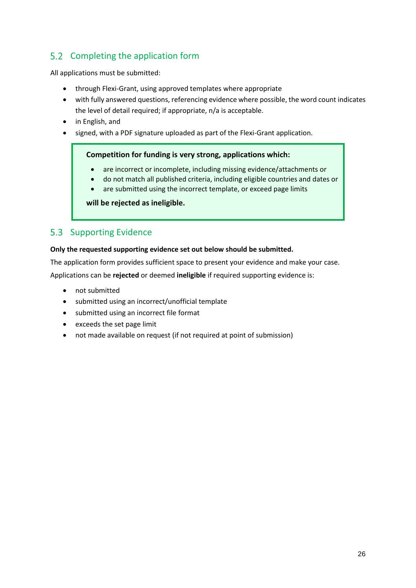### <span id="page-25-0"></span>5.2 Completing the application form

All applications must be submitted:

- through Flexi-Grant, using approved templates where appropriate
- with fully answered questions, referencing evidence where possible, the word count indicates the level of detail required; if appropriate, n/a is acceptable.
- in English, and
- signed, with a PDF signature uploaded as part of the Flexi-Grant application.

### **Competition for funding is very strong, applications which:**

- are incorrect or incomplete, including missing evidence/attachments or
- do not match all published criteria, including eligible countries and dates or
- are submitted using the incorrect template, or exceed page limits

### **will be rejected as ineligible.**

### <span id="page-25-1"></span>5.3 Supporting Evidence

### **Only the requested supporting evidence set out below should be submitted.**

The application form provides sufficient space to present your evidence and make your case.

Applications can be **rejected** or deemed **ineligible** if required supporting evidence is:

- not submitted
- submitted using an incorrect/unofficial template
- submitted using an incorrect file format
- exceeds the set page limit
- not made available on request (if not required at point of submission)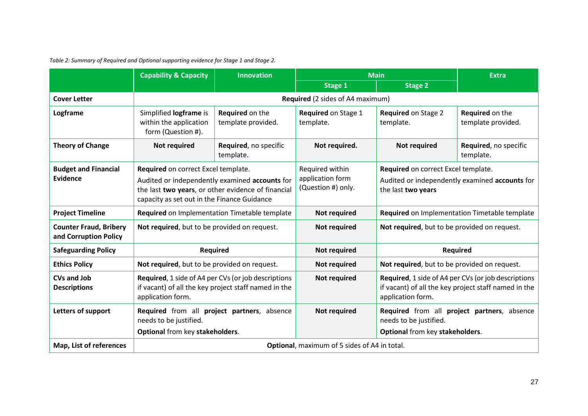|                                                        | <b>Capability &amp; Capacity</b><br><b>Innovation</b>                                                                                                                                      |                                       | <b>Main</b>                                               |                                                           | <b>Extra</b>                                                                                                |
|--------------------------------------------------------|--------------------------------------------------------------------------------------------------------------------------------------------------------------------------------------------|---------------------------------------|-----------------------------------------------------------|-----------------------------------------------------------|-------------------------------------------------------------------------------------------------------------|
|                                                        |                                                                                                                                                                                            |                                       | <b>Stage 1</b>                                            | <b>Stage 2</b>                                            |                                                                                                             |
| <b>Cover Letter</b>                                    |                                                                                                                                                                                            |                                       | Required (2 sides of A4 maximum)                          |                                                           |                                                                                                             |
| Logframe                                               | Simplified logframe is<br>within the application<br>form (Question #).                                                                                                                     | Required on the<br>template provided. | Required on Stage 1<br>template.                          | <b>Required on Stage 2</b><br>template.                   | Required on the<br>template provided.                                                                       |
| <b>Theory of Change</b>                                | Not required                                                                                                                                                                               | Required, no specific<br>template.    | Not required.                                             | <b>Not required</b>                                       | Required, no specific<br>template.                                                                          |
| <b>Budget and Financial</b><br><b>Evidence</b>         | Required on correct Excel template.<br>Audited or independently examined accounts for<br>the last two years, or other evidence of financial<br>capacity as set out in the Finance Guidance |                                       | Required within<br>application form<br>(Question #) only. | Required on correct Excel template.<br>the last two years | Audited or independently examined accounts for                                                              |
| <b>Project Timeline</b>                                | Required on Implementation Timetable template                                                                                                                                              |                                       | <b>Not required</b>                                       |                                                           | Required on Implementation Timetable template                                                               |
| <b>Counter Fraud, Bribery</b><br>and Corruption Policy | Not required, but to be provided on request.                                                                                                                                               |                                       | <b>Not required</b>                                       | Not required, but to be provided on request.              |                                                                                                             |
| <b>Safeguarding Policy</b>                             | <b>Required</b>                                                                                                                                                                            |                                       | <b>Not required</b>                                       |                                                           | <b>Required</b>                                                                                             |
| <b>Ethics Policy</b>                                   | Not required, but to be provided on request.                                                                                                                                               |                                       | <b>Not required</b>                                       | Not required, but to be provided on request.              |                                                                                                             |
| <b>CVs and Job</b><br><b>Descriptions</b>              | Required, 1 side of A4 per CVs (or job descriptions<br>if vacant) of all the key project staff named in the<br>application form.                                                           |                                       | <b>Not required</b>                                       | application form.                                         | Required, 1 side of A4 per CVs (or job descriptions<br>if vacant) of all the key project staff named in the |
| Letters of support                                     | Required from all project partners, absence<br>needs to be justified.                                                                                                                      |                                       | <b>Not required</b>                                       | needs to be justified.                                    | Required from all project partners, absence                                                                 |
|                                                        | Optional from key stakeholders.                                                                                                                                                            |                                       |                                                           | Optional from key stakeholders.                           |                                                                                                             |
| Map, List of references                                | <b>Optional</b> , maximum of 5 sides of A4 in total.                                                                                                                                       |                                       |                                                           |                                                           |                                                                                                             |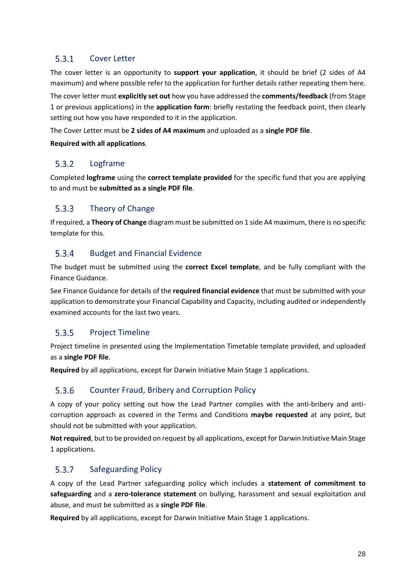#### $5.3.1$ Cover Letter

The cover letter is an opportunity to **support your application**, it should be brief (2 sides of A4 maximum) and where possible refer to the application for further details rather repeating them here. The cover letter must **explicitly set out** how you have addressed the **comments/feedback** (from Stage 1 or previous applications) in the **application form**: briefly restating the feedback point, then clearly setting out how you have responded to it in the application.

The Cover Letter must be **2 sides of A4 maximum** and uploaded as a **single PDF file**.

**Required with all applications**.

#### $5.3.2$ Logframe

Completed **logframe** using the **correct template provided** for the specific fund that you are applying to and must be **submitted as a single PDF file**.

#### $5.3.3$ Theory of Change

If required, a **Theory of Change** diagram must be submitted on 1 side A4 maximum, there is no specific template for this.

#### $5.3.4$ Budget and Financial Evidence

The budget must be submitted using the **correct Excel template**, and be fully compliant with the Finance Guidance.

See Finance Guidance for details of the **required financial evidence** that must be submitted with your application to demonstrate your Financial Capability and Capacity, including audited or independently examined accounts for the last two years.

#### $5.3.5$ Project Timeline

Project timeline in presented using the Implementation Timetable template provided, and uploaded as a **single PDF file**.

**Required** by all applications, except for Darwin Initiative Main Stage 1 applications.

#### 5.3.6 Counter Fraud, Bribery and Corruption Policy

A copy of your policy setting out how the Lead Partner complies with the anti-bribery and anticorruption approach as covered in the Terms and Conditions **maybe requested** at any point, but should not be submitted with your application.

**Not required**, but to be provided on request by all applications, except for Darwin Initiative Main Stage 1 applications.

#### $5.3.7$ Safeguarding Policy

A copy of the Lead Partner safeguarding policy which includes a **statement of commitment to safeguarding** and a **zero-tolerance statement** on bullying, harassment and sexual exploitation and abuse, and must be submitted as a **single PDF file**.

**Required** by all applications, except for Darwin Initiative Main Stage 1 applications.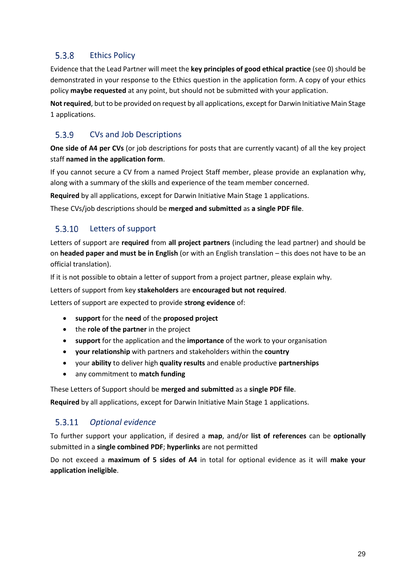#### $5.3.8$ Ethics Policy

Evidence that the Lead Partner will meet the **key principles of good ethical practice** (se[e 0\)](#page-15-0) should be demonstrated in your response to the Ethics question in the application form. A copy of your ethics policy **maybe requested** at any point, but should not be submitted with your application.

**Not required**, but to be provided on request by all applications, except for Darwin Initiative Main Stage 1 applications.

#### 5.3.9 CVs and Job Descriptions

**One side of A4 per CVs** (or job descriptions for posts that are currently vacant) of all the key project staff **named in the application form**.

If you cannot secure a CV from a named Project Staff member, please provide an explanation why, along with a summary of the skills and experience of the team member concerned.

**Required** by all applications, except for Darwin Initiative Main Stage 1 applications.

These CVs/job descriptions should be **merged and submitted** as **a single PDF file**.

#### 5.3.10 Letters of support

Letters of support are **required** from **all project partners** (including the lead partner) and should be on **headed paper and must be in English** (or with an English translation – this does not have to be an official translation).

If it is not possible to obtain a letter of support from a project partner, please explain why.

Letters of support from key **stakeholders** are **encouraged but not required**.

Letters of support are expected to provide **strong evidence** of:

- **support** for the **need** of the **proposed project**
- the **role of the partner** in the project
- **support** for the application and the **importance** of the work to your organisation
- **your relationship** with partners and stakeholders within the **country**
- your **ability** to deliver high **quality results** and enable productive **partnerships**
- any commitment to **match funding**

These Letters of Support should be **merged and submitted** as a **single PDF file**.

**Required** by all applications, except for Darwin Initiative Main Stage 1 applications.

#### 5.3.11 *Optional evidence*

To further support your application, if desired a **map**, and/or **list of references** can be **optionally** submitted in a **single combined PDF**; **hyperlinks** are not permitted

Do not exceed a **maximum of 5 sides of A4** in total for optional evidence as it will **make your application ineligible**.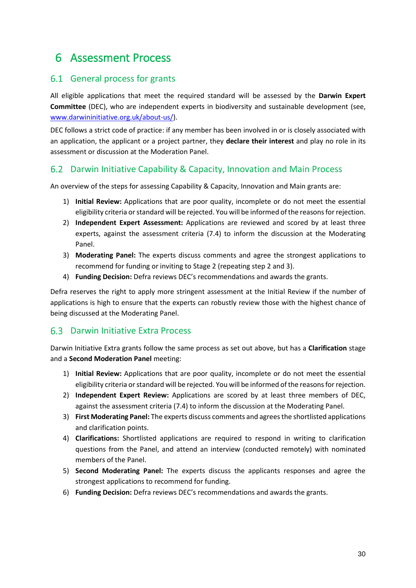## <span id="page-29-0"></span>6 Assessment Process

### <span id="page-29-1"></span>6.1 General process for grants

All eligible applications that meet the required standard will be assessed by the **Darwin Expert Committee** (DEC), who are independent experts in biodiversity and sustainable development (see, [www.darwininitiative.org.uk/about-us/\)](http://www.darwininitiative.org.uk/about-us/).

DEC follows a strict code of practice: if any member has been involved in or is closely associated with an application, the applicant or a project partner, they **declare their interest** and play no role in its assessment or discussion at the Moderation Panel.

### <span id="page-29-2"></span>Darwin Initiative Capability & Capacity, Innovation and Main Process

An overview of the steps for assessing Capability & Capacity, Innovation and Main grants are:

- 1) **Initial Review:** Applications that are poor quality, incomplete or do not meet the essential eligibility criteria or standard will be rejected. You will be informed of the reasons for rejection.
- 2) **Independent Expert Assessment:** Applications are reviewed and scored by at least three experts, against the assessment criteria [\(7.4\)](#page-32-0) to inform the discussion at the Moderating Panel.
- 3) **Moderating Panel:** The experts discuss comments and agree the strongest applications to recommend for funding or inviting to Stage 2 (repeating step 2 and 3).
- 4) **Funding Decision:** Defra reviews DEC's recommendations and awards the grants.

Defra reserves the right to apply more stringent assessment at the Initial Review if the number of applications is high to ensure that the experts can robustly review those with the highest chance of being discussed at the Moderating Panel.

### <span id="page-29-3"></span>6.3 Darwin Initiative Extra Process

Darwin Initiative Extra grants follow the same process as set out above, but has a **Clarification** stage and a **Second Moderation Panel** meeting:

- 1) **Initial Review:** Applications that are poor quality, incomplete or do not meet the essential eligibility criteria or standard will be rejected. You will be informed of the reasons for rejection.
- 2) **Independent Expert Review:** Applications are scored by at least three members of DEC, against the assessment criteria [\(7.4\)](#page-32-0) to inform the discussion at the Moderating Panel.
- 3) **First Moderating Panel:** The experts discuss comments and agrees the shortlisted applications and clarification points.
- 4) **Clarifications:** Shortlisted applications are required to respond in writing to clarification questions from the Panel, and attend an interview (conducted remotely) with nominated members of the Panel.
- 5) **Second Moderating Panel:** The experts discuss the applicants responses and agree the strongest applications to recommend for funding.
- 6) **Funding Decision:** Defra reviews DEC's recommendations and awards the grants.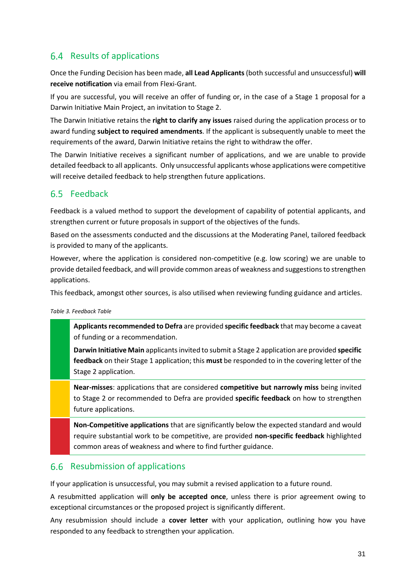### <span id="page-30-0"></span>6.4 Results of applications

Once the Funding Decision has been made, **all Lead Applicants** (both successful and unsuccessful) **will receive notification** via email from Flexi-Grant.

If you are successful, you will receive an offer of funding or, in the case of a Stage 1 proposal for a Darwin Initiative Main Project, an invitation to Stage 2.

The Darwin Initiative retains the **right to clarify any issues** raised during the application process or to award funding **subject to required amendments**. If the applicant is subsequently unable to meet the requirements of the award, Darwin Initiative retains the right to withdraw the offer.

The Darwin Initiative receives a significant number of applications, and we are unable to provide detailed feedback to all applicants. Only unsuccessful applicants whose applications were competitive will receive detailed feedback to help strengthen future applications.

### <span id="page-30-1"></span>6.5 Feedback

Feedback is a valued method to support the development of capability of potential applicants, and strengthen current or future proposals in support of the objectives of the funds.

Based on the assessments conducted and the discussions at the Moderating Panel, tailored feedback is provided to many of the applicants.

However, where the application is considered non-competitive (e.g. low scoring) we are unable to provide detailed feedback, and will provide common areas of weakness and suggestions to strengthen applications.

This feedback, amongst other sources, is also utilised when reviewing funding guidance and articles.

*Table 3. Feedback Table*

**Applicants recommended to Defra** are provided **specific feedback** that may become a caveat of funding or a recommendation.

**Darwin Initiative Main** applicants invited to submit a Stage 2 application are provided **specific feedback** on their Stage 1 application; this **must** be responded to in the covering letter of the Stage 2 application.

**Near-misses**: applications that are considered **competitive but narrowly miss** being invited to Stage 2 or recommended to Defra are provided **specific feedback** on how to strengthen future applications.

**Non-Competitive applications** that are significantly below the expected standard and would require substantial work to be competitive, are provided **non-specific feedback** highlighted common areas of weakness and where to find further guidance.

### <span id="page-30-2"></span>6.6 Resubmission of applications

If your application is unsuccessful, you may submit a revised application to a future round.

A resubmitted application will **only be accepted once**, unless there is prior agreement owing to exceptional circumstances or the proposed project is significantly different.

Any resubmission should include a **cover letter** with your application, outlining how you have responded to any feedback to strengthen your application.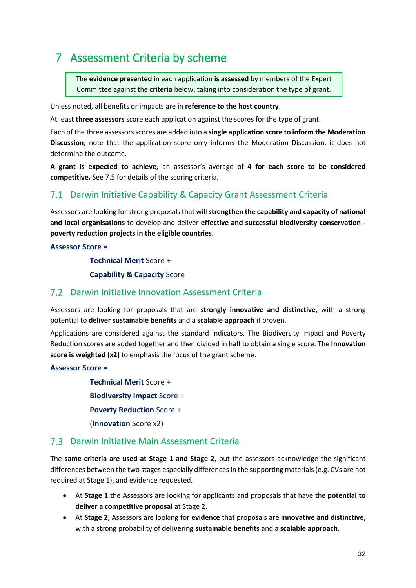## <span id="page-31-0"></span>7 Assessment Criteria by scheme

The **evidence presented** in each application **is assessed** by members of the Expert Committee against the **criteria** below, taking into consideration the type of grant.

Unless noted, all benefits or impacts are in **reference to the host country**.

At least **three assessors** score each application against the scores for the type of grant.

Each of the three assessors scores are added into a **single application score to inform the Moderation Discussion**; note that the application score only informs the Moderation Discussion, it does not determine the outcome.

**A grant is expected to achieve,** an assessor's average of **4 for each score to be considered competitive.** Se[e 7.5](#page-32-1) for details of the scoring criteria.

### <span id="page-31-1"></span>Darwin Initiative Capability & Capacity Grant Assessment Criteria

Assessors are looking for strong proposals that will **strengthen the capability and capacity of national and local organisations** to develop and deliver **effective and successful biodiversity conservation poverty reduction projects in the eligible countries**.

### **Assessor Score =**

**Technical Merit** Score +

**Capability & Capacity** Score

### <span id="page-31-2"></span>Darwin Initiative Innovation Assessment Criteria

Assessors are looking for proposals that are **strongly innovative and distinctive**, with a strong potential to **deliver sustainable benefits** and a **scalable approach** if proven.

Applications are considered against the standard indicators. The Biodiversity Impact and Poverty Reduction scores are added together and then divided in half to obtain a single score. The **Innovation score is weighted (x2)** to emphasis the focus of the grant scheme.

**Assessor Score =** 

**Technical Merit** Score + **Biodiversity Impact** Score + **Poverty Reduction** Score + (**Innovation** Score x2)

### <span id="page-31-3"></span>Darwin Initiative Main Assessment Criteria

The **same criteria are used at Stage 1 and Stage 2**, but the assessors acknowledge the significant differences between the two stages especially differences in the supporting materials (e.g. CVs are not required at Stage 1), and evidence requested.

- At **Stage 1** the Assessors are looking for applicants and proposals that have the **potential to deliver a competitive proposal** at Stage 2.
- At **Stage 2**, Assessors are looking for **evidence** that proposals are **innovative and distinctive**, with a strong probability of **delivering sustainable benefits** and a **scalable approach**.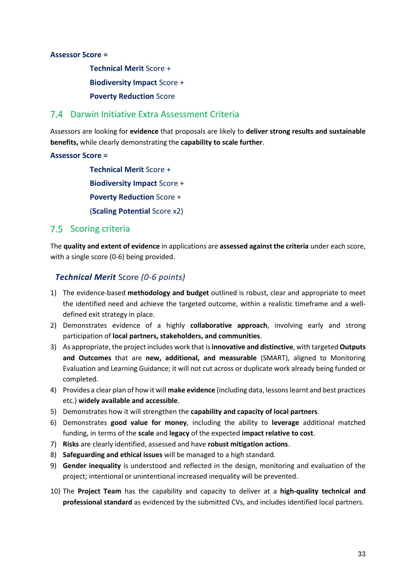### **Assessor Score =**

**Technical Merit** Score + **Biodiversity Impact** Score + **Poverty Reduction** Score

### <span id="page-32-0"></span>Darwin Initiative Extra Assessment Criteria

Assessors are looking for **evidence** that proposals are likely to **deliver strong results and sustainable benefits,** while clearly demonstrating the **capability to scale further**.

### **Assessor Score =**

**Technical Merit** Score + **Biodiversity Impact** Score + **Poverty Reduction** Score + (**Scaling Potential** Score x2)

### <span id="page-32-1"></span>7.5 Scoring criteria

The **quality and extent of evidence** in applications are **assessed against the criteria** under each score, with a single score (0-6) being provided.

### *Technical Merit* Score *(0-6 points)*

- 1) The evidence-based **methodology and budget** outlined is robust, clear and appropriate to meet the identified need and achieve the targeted outcome, within a realistic timeframe and a welldefined exit strategy in place.
- 2) Demonstrates evidence of a highly **collaborative approach**, involving early and strong participation of **local partners, stakeholders, and communities**.
- 3) As appropriate, the project includes work that is **innovative and distinctive**, with targeted **Outputs and Outcomes** that are **new, additional, and measurable** (SMART), aligned to Monitoring Evaluation and Learning Guidance; it will not cut across or duplicate work already being funded or completed.
- 4) Provides a clear plan of how it will **make evidence** (including data, lessons learnt and best practices etc.) **widely available and accessible**.
- 5) Demonstrates how it will strengthen the **capability and capacity of local partners**.
- 6) Demonstrates **good value for money**, including the ability to **leverage** additional matched funding, in terms of the **scale** and **legacy** of the expected **impact relative to cost**.
- 7) **Risks** are clearly identified, assessed and have **robust mitigation actions**.
- 8) **Safeguarding and ethical issues** will be managed to a high standard.
- 9) **Gender inequality** is understood and reflected in the design, monitoring and evaluation of the project; intentional or unintentional increased inequality will be prevented.
- 10) The **Project Team** has the capability and capacity to deliver at a **high-quality technical and professional standard** as evidenced by the submitted CVs, and includes identified local partners.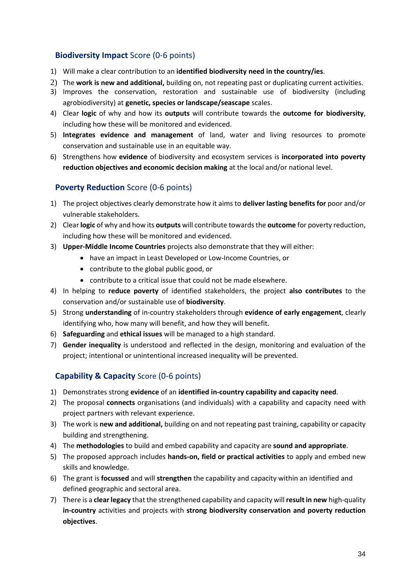### **Biodiversity Impact** Score (0-6 points)

- 1) Will make a clear contribution to an **identified biodiversity need in the country/ies**.
- 2) The **work is new and additional,** building on, not repeating past or duplicating current activities.
- 3) Improves the conservation, restoration and sustainable use of biodiversity (including agrobiodiversity) at **genetic, species or landscape/seascape** scales.
- 4) Clear **logic** of why and how its **outputs** will contribute towards the **outcome for biodiversity**, including how these will be monitored and evidenced.
- 5) **Integrates evidence and management** of land, water and living resources to promote conservation and sustainable use in an equitable way.
- 6) Strengthens how **evidence** of biodiversity and ecosystem services is **incorporated into poverty reduction objectives and economic decision making** at the local and/or national level.

### **Poverty Reduction** Score (0-6 points)

- 1) The project objectives clearly demonstrate how it aims to **deliver lasting benefits for** poor and/or vulnerable stakeholders.
- 2) Clear **logic** of why and how its **outputs** will contribute towards the **outcome** for poverty reduction, including how these will be monitored and evidenced.
- 3) **Upper-Middle Income Countries** projects also demonstrate that they will either:
	- have an impact in Least Developed or Low-Income Countries, or
	- contribute to the global public good, or
	- contribute to a critical issue that could not be made elsewhere.
- 4) In helping to **reduce poverty** of identified stakeholders, the project **also contributes** to the conservation and/or sustainable use of **biodiversity**.
- 5) Strong **understanding** of in-country stakeholders through **evidence of early engagement**, clearly identifying who, how many will benefit, and how they will benefit.
- 6) **Safeguarding** and **ethical issues** will be managed to a high standard.
- 7) **Gender inequality** is understood and reflected in the design, monitoring and evaluation of the project; intentional or unintentional increased inequality will be prevented.

### **Capability & Capacity** Score (0-6 points)

- 1) Demonstrates strong **evidence** of an **identified in-country capability and capacity need**.
- 2) The proposal **connects** organisations (and individuals) with a capability and capacity need with project partners with relevant experience.
- 3) The work is **new and additional,** building on and not repeating past training, capability or capacity building and strengthening.
- 4) The **methodologies** to build and embed capability and capacity are **sound and appropriate**.
- 5) The proposed approach includes **hands-on, field or practical activities** to apply and embed new skills and knowledge.
- 6) The grant is **focussed** and will **strengthen** the capability and capacity within an identified and defined geographic and sectoral area.
- 7) There is a **clear legacy** that the strengthened capability and capacity will **result in new** high-quality **in-country** activities and projects with **strong biodiversity conservation and poverty reduction objectives**.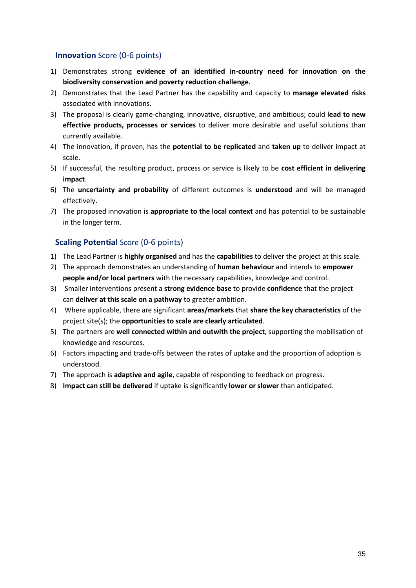### **Innovation** Score (0-6 points)

- 1) Demonstrates strong **evidence of an identified in-country need for innovation on the biodiversity conservation and poverty reduction challenge.**
- 2) Demonstrates that the Lead Partner has the capability and capacity to **manage elevated risks** associated with innovations.
- 3) The proposal is clearly game-changing, innovative, disruptive, and ambitious; could **lead to new effective products, processes or services** to deliver more desirable and useful solutions than currently available.
- 4) The innovation, if proven, has the **potential to be replicated** and **taken up** to deliver impact at scale.
- 5) If successful, the resulting product, process or service is likely to be **cost efficient in delivering impact**.
- 6) The **uncertainty and probability** of different outcomes is **understood** and will be managed effectively.
- 7) The proposed innovation is **appropriate to the local context** and has potential to be sustainable in the longer term.

### **Scaling Potential** Score (0-6 points)

- 1) The Lead Partner is **highly organised** and has the **capabilities** to deliver the project at this scale.
- 2) The approach demonstrates an understanding of **human behaviour** and intends to **empower people and/or local partners** with the necessary capabilities, knowledge and control.
- 3) Smaller interventions present a **strong evidence base** to provide **confidence** that the project can **deliver at this scale on a pathway** to greater ambition.
- 4) Where applicable, there are significant **areas/markets** that **share the key characteristics** of the project site(s); the **opportunities to scale are clearly articulated**.
- 5) The partners are **well connected within and outwith the project**, supporting the mobilisation of knowledge and resources.
- 6) Factors impacting and trade-offs between the rates of uptake and the proportion of adoption is understood.
- 7) The approach is **adaptive and agile**, capable of responding to feedback on progress.
- 8) **Impact can still be delivered** if uptake is significantly **lower or slower** than anticipated.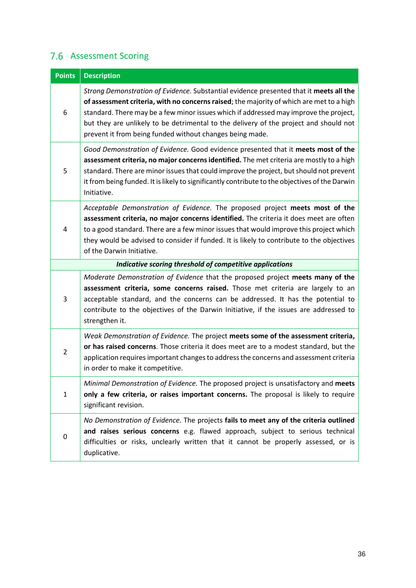## <span id="page-35-0"></span>7.6 Assessment Scoring

| <b>Points</b>  | <b>Description</b>                                                                                                                                                                                                                                                                                                                                                                                                               |
|----------------|----------------------------------------------------------------------------------------------------------------------------------------------------------------------------------------------------------------------------------------------------------------------------------------------------------------------------------------------------------------------------------------------------------------------------------|
| 6              | Strong Demonstration of Evidence. Substantial evidence presented that it meets all the<br>of assessment criteria, with no concerns raised; the majority of which are met to a high<br>standard. There may be a few minor issues which if addressed may improve the project,<br>but they are unlikely to be detrimental to the delivery of the project and should not<br>prevent it from being funded without changes being made. |
| 5              | Good Demonstration of Evidence. Good evidence presented that it meets most of the<br>assessment criteria, no major concerns identified. The met criteria are mostly to a high<br>standard. There are minor issues that could improve the project, but should not prevent<br>it from being funded. It is likely to significantly contribute to the objectives of the Darwin<br>Initiative.                                        |
| 4              | Acceptable Demonstration of Evidence. The proposed project meets most of the<br>assessment criteria, no major concerns identified. The criteria it does meet are often<br>to a good standard. There are a few minor issues that would improve this project which<br>they would be advised to consider if funded. It is likely to contribute to the objectives<br>of the Darwin Initiative.                                       |
|                | Indicative scoring threshold of competitive applications                                                                                                                                                                                                                                                                                                                                                                         |
| 3              | Moderate Demonstration of Evidence that the proposed project meets many of the<br>assessment criteria, some concerns raised. Those met criteria are largely to an<br>acceptable standard, and the concerns can be addressed. It has the potential to<br>contribute to the objectives of the Darwin Initiative, if the issues are addressed to<br>strengthen it.                                                                  |
| $\overline{2}$ | Weak Demonstration of Evidence. The project meets some of the assessment criteria,<br>or has raised concerns. Those criteria it does meet are to a modest standard, but the<br>application requires important changes to address the concerns and assessment criteria<br>in order to make it competitive.                                                                                                                        |
| $\mathbf{1}$   | Minimal Demonstration of Evidence. The proposed project is unsatisfactory and meets<br>only a few criteria, or raises important concerns. The proposal is likely to require<br>significant revision.                                                                                                                                                                                                                             |
| $\pmb{0}$      | No Demonstration of Evidence. The projects fails to meet any of the criteria outlined<br>and raises serious concerns e.g. flawed approach, subject to serious technical<br>difficulties or risks, unclearly written that it cannot be properly assessed, or is<br>duplicative.                                                                                                                                                   |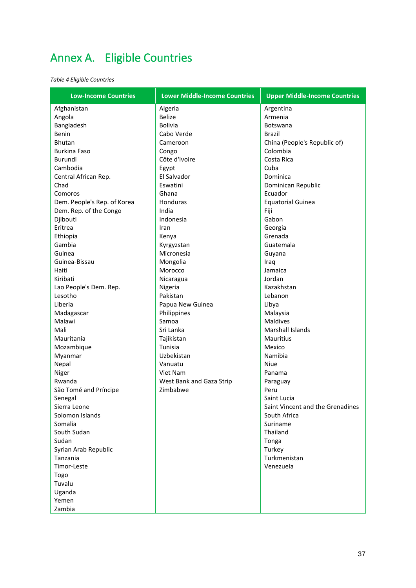## <span id="page-36-0"></span>Annex A. Eligible Countries

*Table 4 Eligible Countries*

| <b>Low-Income Countries</b> | <b>Lower Middle-Income Countries</b> | <b>Upper Middle-Income Countries</b> |
|-----------------------------|--------------------------------------|--------------------------------------|
| Afghanistan                 | Algeria                              | Argentina                            |
| Angola                      | <b>Belize</b>                        | Armenia                              |
| Bangladesh                  | <b>Bolivia</b>                       | Botswana                             |
| Benin                       | Cabo Verde                           | Brazil                               |
| <b>Bhutan</b>               | Cameroon                             | China (People's Republic of)         |
| <b>Burkina Faso</b>         | Congo                                | Colombia                             |
| Burundi                     | Côte d'Ivoire                        | Costa Rica                           |
| Cambodia                    | Egypt                                | Cuba                                 |
| Central African Rep.        | El Salvador                          | Dominica                             |
| Chad                        | Eswatini                             | Dominican Republic                   |
| Comoros                     | Ghana                                | Ecuador                              |
| Dem. People's Rep. of Korea | Honduras                             | <b>Equatorial Guinea</b>             |
| Dem. Rep. of the Congo      | India                                | Fiji                                 |
| Djibouti                    | Indonesia                            | Gabon                                |
| Eritrea                     | Iran                                 | Georgia                              |
| Ethiopia                    | Kenya                                | Grenada                              |
| Gambia                      | Kyrgyzstan                           | Guatemala                            |
| Guinea                      | Micronesia                           | Guyana                               |
| Guinea-Bissau               | Mongolia                             | Iraq                                 |
| Haiti                       | Morocco                              | Jamaica                              |
| Kiribati                    | Nicaragua                            | Jordan                               |
| Lao People's Dem. Rep.      | Nigeria                              | Kazakhstan                           |
| Lesotho                     | Pakistan                             | Lebanon                              |
| Liberia                     | Papua New Guinea                     | Libya                                |
| Madagascar                  | Philippines                          | Malaysia                             |
| Malawi                      | Samoa                                | <b>Maldives</b>                      |
| Mali                        | Sri Lanka                            | <b>Marshall Islands</b>              |
| Mauritania                  | Tajikistan                           | <b>Mauritius</b>                     |
| Mozambique                  | Tunisia                              | Mexico                               |
| Myanmar                     | Uzbekistan                           | Namibia                              |
| Nepal                       | Vanuatu                              | Niue                                 |
| Niger                       | Viet Nam                             | Panama                               |
| Rwanda                      | West Bank and Gaza Strip             | Paraguay                             |
| São Tomé and Príncipe       | Zimbabwe                             | Peru                                 |
| Senegal                     |                                      | Saint Lucia                          |
| Sierra Leone                |                                      | Saint Vincent and the Grenadines     |
| Solomon Islands             |                                      | South Africa                         |
| Somalia                     |                                      | Suriname                             |
| South Sudan                 |                                      | Thailand                             |
| Sudan                       |                                      | Tonga                                |
| Syrian Arab Republic        |                                      | Turkey                               |
| Tanzania                    |                                      | Turkmenistan                         |
| Timor-Leste                 |                                      | Venezuela                            |
| Togo                        |                                      |                                      |
| Tuvalu                      |                                      |                                      |
| Uganda                      |                                      |                                      |
| Yemen                       |                                      |                                      |
| Zambia                      |                                      |                                      |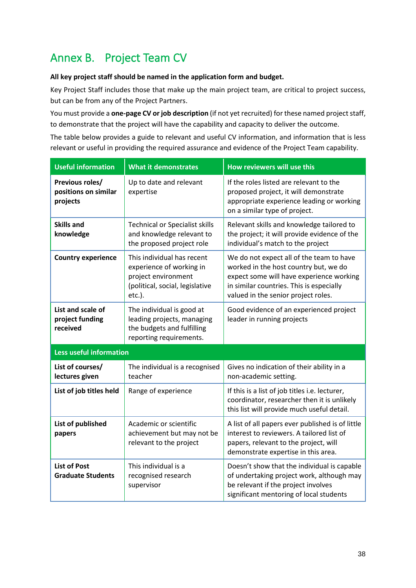## <span id="page-37-0"></span>Annex B. Project Team CV

### **All key project staff should be named in the application form and budget.**

Key Project Staff includes those that make up the main project team, are critical to project success, but can be from any of the Project Partners.

You must provide a **one-page CV or job description** (if not yet recruited) for these named project staff, to demonstrate that the project will have the capability and capacity to deliver the outcome.

The table below provides a guide to relevant and useful CV information, and information that is less relevant or useful in providing the required assurance and evidence of the Project Team capability.

| <b>Useful information</b>                           | <b>What it demonstrates</b>                                                                                                | How reviewers will use this                                                                                                                                                                                      |  |
|-----------------------------------------------------|----------------------------------------------------------------------------------------------------------------------------|------------------------------------------------------------------------------------------------------------------------------------------------------------------------------------------------------------------|--|
| Previous roles/<br>positions on similar<br>projects | Up to date and relevant<br>expertise                                                                                       | If the roles listed are relevant to the<br>proposed project, it will demonstrate<br>appropriate experience leading or working<br>on a similar type of project.                                                   |  |
| <b>Skills and</b><br>knowledge                      | <b>Technical or Specialist skills</b><br>and knowledge relevant to<br>the proposed project role                            | Relevant skills and knowledge tailored to<br>the project; it will provide evidence of the<br>individual's match to the project                                                                                   |  |
| <b>Country experience</b>                           | This individual has recent<br>experience of working in<br>project environment<br>(political, social, legislative<br>etc.). | We do not expect all of the team to have<br>worked in the host country but, we do<br>expect some will have experience working<br>in similar countries. This is especially<br>valued in the senior project roles. |  |
| List and scale of<br>project funding<br>received    | The individual is good at<br>leading projects, managing<br>the budgets and fulfilling<br>reporting requirements.           | Good evidence of an experienced project<br>leader in running projects                                                                                                                                            |  |
| <b>Less useful information</b>                      |                                                                                                                            |                                                                                                                                                                                                                  |  |
| List of courses/<br>lectures given                  | The individual is a recognised<br>teacher                                                                                  | Gives no indication of their ability in a<br>non-academic setting.                                                                                                                                               |  |
| List of job titles held                             | Range of experience                                                                                                        | If this is a list of job titles i.e. lecturer,<br>coordinator, researcher then it is unlikely<br>this list will provide much useful detail.                                                                      |  |
| List of published<br>papers                         | Academic or scientific<br>achievement but may not be<br>relevant to the project                                            | A list of all papers ever published is of little<br>interest to reviewers. A tailored list of<br>papers, relevant to the project, will<br>demonstrate expertise in this area.                                    |  |
| <b>List of Post</b><br><b>Graduate Students</b>     | This individual is a<br>recognised research<br>supervisor                                                                  | Doesn't show that the individual is capable<br>of undertaking project work, although may<br>be relevant if the project involves<br>significant mentoring of local students                                       |  |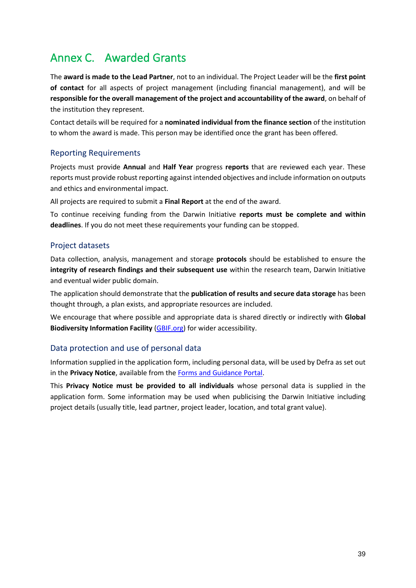## <span id="page-38-0"></span>Annex C. Awarded Grants

The **award is made to the Lead Partner**, not to an individual. The Project Leader will be the **first point of contact** for all aspects of project management (including financial management), and will be **responsible for the overall management of the project and accountability of the award**, on behalf of the institution they represent.

Contact details will be required for a **nominated individual from the finance section** of the institution to whom the award is made. This person may be identified once the grant has been offered.

### Reporting Requirements

Projects must provide **Annual** and **Half Year** progress **reports** that are reviewed each year. These reports must provide robust reporting against intended objectives and include information on outputs and ethics and environmental impact.

All projects are required to submit a **Final Report** at the end of the award.

To continue receiving funding from the Darwin Initiative **reports must be complete and within deadlines**. If you do not meet these requirements your funding can be stopped.

### Project datasets

Data collection, analysis, management and storage **protocols** should be established to ensure the **integrity of research findings and their subsequent use** within the research team, Darwin Initiative and eventual wider public domain.

The application should demonstrate that the **publication of results and secure data storage** has been thought through, a plan exists, and appropriate resources are included.

We encourage that where possible and appropriate data is shared directly or indirectly with **Global Biodiversity Information Facility** [\(GBIF.org\)](http://www.gbif.org/) for wider accessibility.

### Data protection and use of personal data

Information supplied in the application form, including personal data, will be used by Defra as set out in the **Privacy Notice**, available from th[e Forms and Guidance Portal.](http://www.darwininitiative.org.uk/)

This **Privacy Notice must be provided to all individuals** whose personal data is supplied in the application form. Some information may be used when publicising the Darwin Initiative including project details (usually title, lead partner, project leader, location, and total grant value).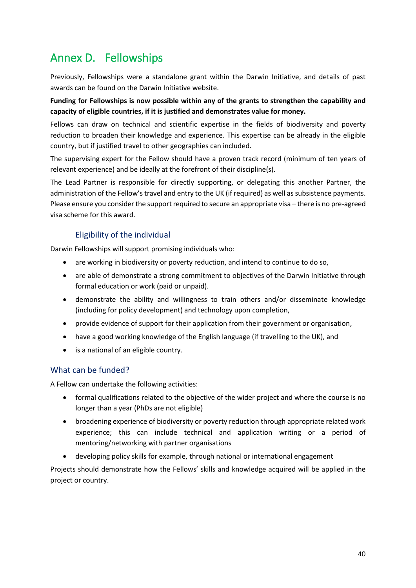## <span id="page-39-0"></span>Annex D. Fellowships

Previously, Fellowships were a standalone grant within the Darwin Initiative, and details of past awards can be found on the Darwin Initiative website.

### **Funding for Fellowships is now possible within any of the grants to strengthen the capability and capacity of eligible countries, if it is justified and demonstrates value for money.**

Fellows can draw on technical and scientific expertise in the fields of biodiversity and poverty reduction to broaden their knowledge and experience. This expertise can be already in the eligible country, but if justified travel to other geographies can included.

The supervising expert for the Fellow should have a proven track record (minimum of ten years of relevant experience) and be ideally at the forefront of their discipline(s).

The Lead Partner is responsible for directly supporting, or delegating this another Partner, the administration of the Fellow's travel and entry to the UK (if required) as well as subsistence payments. Please ensure you consider the support required to secure an appropriate visa – there is no pre-agreed visa scheme for this award.

### Eligibility of the individual

Darwin Fellowships will support promising individuals who:

- are working in biodiversity or poverty reduction, and intend to continue to do so,
- are able of demonstrate a strong commitment to objectives of the Darwin Initiative through formal education or work (paid or unpaid).
- demonstrate the ability and willingness to train others and/or disseminate knowledge (including for policy development) and technology upon completion,
- provide evidence of support for their application from their government or organisation,
- have a good working knowledge of the English language (if travelling to the UK), and
- is a national of an eligible country.

### What can be funded?

A Fellow can undertake the following activities:

- formal qualifications related to the objective of the wider project and where the course is no longer than a year (PhDs are not eligible)
- broadening experience of biodiversity or poverty reduction through appropriate related work experience; this can include technical and application writing or a period of mentoring/networking with partner organisations
- developing policy skills for example, through national or international engagement

Projects should demonstrate how the Fellows' skills and knowledge acquired will be applied in the project or country.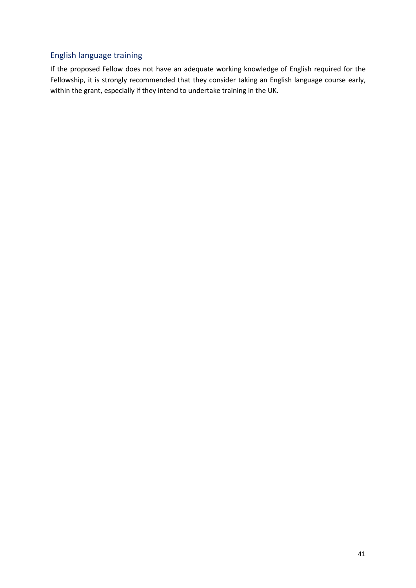### English language training

If the proposed Fellow does not have an adequate working knowledge of English required for the Fellowship, it is strongly recommended that they consider taking an English language course early, within the grant, especially if they intend to undertake training in the UK.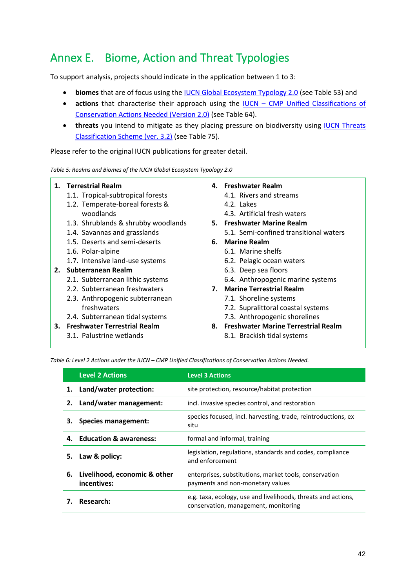## <span id="page-41-0"></span>Annex E. Biome, Action and Threat Typologies

To support analysis, projects should indicate in the application between 1 to 3:

- **biomes** that are of focus using the [IUCN Global Ecosystem Typology 2.0](https://portals.iucn.org/library/node/49250) (see [Table 53](#page-41-1)) and
- **actions** that characterise their approach using the IUCN [CMP Unified Classifications of](https://nc.iucnredlist.org/redlist/content/attachment_files/dec_2012_guidance_conservation_actions_needed_classification_scheme.pdf)  [Conservation Actions Needed \(Version 2.0\)](https://nc.iucnredlist.org/redlist/content/attachment_files/dec_2012_guidance_conservation_actions_needed_classification_scheme.pdf) (see [Table 64](#page-41-2)).
- **threats** you intend to mitigate as they placing pressure on biodiversity using **IUCN** Threats [Classification Scheme \(ver. 3.2\)](https://nc.iucnredlist.org/redlist/content/attachment_files/dec_2012_guidance_threats_classification_scheme.pdf) (see [Table 75](#page-42-0)).

Please refer to the original IUCN publications for greater detail.

<span id="page-41-1"></span>*Table 5: Realms and Biomes of the IUCN Global Ecosystem Typology 2.0*

### **1. Terrestrial Realm**

- 1.1. Tropical-subtropical forests
- 1.2. Temperate-boreal forests & woodlands
- 1.3. Shrublands & shrubby woodlands
- 1.4. Savannas and grasslands
- 1.5. Deserts and semi-deserts
- 1.6. Polar-alpine
- 1.7. Intensive land-use systems
- **2. Subterranean Realm**
	- 2.1. Subterranean lithic systems
	- 2.2. Subterranean freshwaters
	- 2.3. Anthropogenic subterranean freshwaters
	- 2.4. Subterranean tidal systems
- **3. Freshwater Terrestrial Realm**
	- 3.1. Palustrine wetlands

### **4. Freshwater Realm**

- 4.1. Rivers and streams
	- 4.2. Lakes
	- 4.3. Artificial fresh waters
- **5. Freshwater Marine Realm**
	- 5.1. Semi-confined transitional waters
- **6. Marine Realm**
	- 6.1. Marine shelfs
		- 6.2. Pelagic ocean waters
	- 6.3. Deep sea floors
	- 6.4. Anthropogenic marine systems
- **7. Marine Terrestrial Realm**
	- 7.1. Shoreline systems
	- 7.2. Supralittoral coastal systems
	- 7.3. Anthropogenic shorelines
- **8. Freshwater Marine Terrestrial Realm**
	- 8.1. Brackish tidal systems

<span id="page-41-2"></span>*Table 6: Level 2 Actions under the IUCN – CMP Unified Classifications of Conservation Actions Needed.*

|    | <b>Level 2 Actions</b>                                                    | <b>Level 3 Actions</b>                                                                                |
|----|---------------------------------------------------------------------------|-------------------------------------------------------------------------------------------------------|
| 1. | Land/water protection:<br>site protection, resource/habitat protection    |                                                                                                       |
| 2. | Land/water management:<br>incl. invasive species control, and restoration |                                                                                                       |
| з. | <b>Species management:</b>                                                | species focused, incl. harvesting, trade, reintroductions, ex-<br>situ                                |
|    | 4. Education & awareness:                                                 | formal and informal, training                                                                         |
| 5. | Law & policy:                                                             | legislation, regulations, standards and codes, compliance<br>and enforcement                          |
| 6. | Livelihood, economic & other<br>incentives:                               | enterprises, substitutions, market tools, conservation<br>payments and non-monetary values            |
|    | Research:                                                                 | e.g. taxa, ecology, use and livelihoods, threats and actions,<br>conservation, management, monitoring |